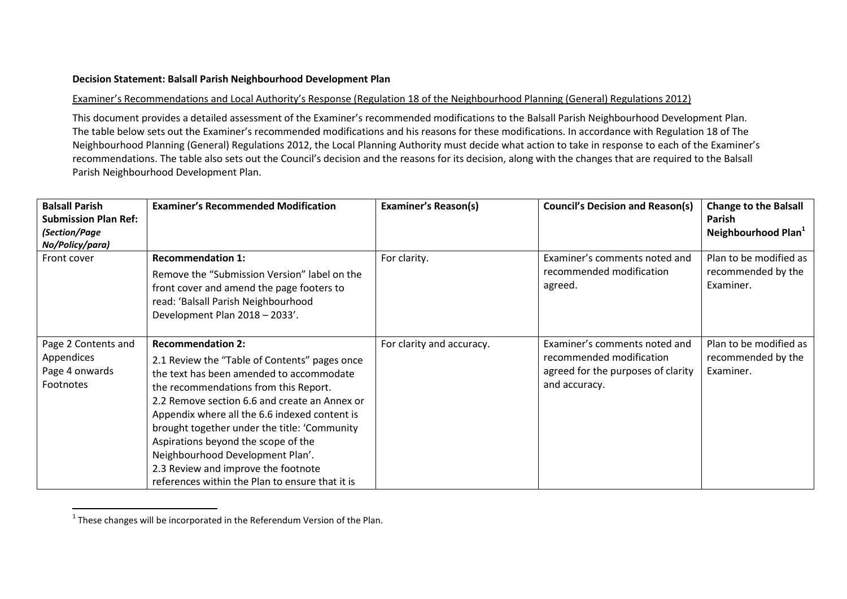## **Decision Statement: Balsall Parish Neighbourhood Development Plan**

## Examiner's Recommendations and Local Authority's Response (Regulation 18 of the Neighbourhood Planning (General) Regulations 2012)

This document provides a detailed assessment of the Examiner's recommended modifications to the Balsall Parish Neighbourhood Development Plan. The table below sets out the Examiner's recommended modifications and his reasons for these modifications. In accordance with Regulation 18 of The Neighbourhood Planning (General) Regulations 2012, the Local Planning Authority must decide what action to take in response to each of the Examiner's recommendations. The table also sets out the Council's decision and the reasons for its decision, along with the changes that are required to the Balsall Parish Neighbourhood Development Plan.

| <b>Balsall Parish</b><br><b>Submission Plan Ref:</b><br>(Section/Page<br>No/Policy/para) | <b>Examiner's Recommended Modification</b>                                                                                                                                                                                                                                                                                                                                                                                                                                            | <b>Examiner's Reason(s)</b> | <b>Council's Decision and Reason(s)</b>                                                                          | <b>Change to the Balsall</b><br>Parish<br>Neighbourhood Plan <sup>1</sup> |
|------------------------------------------------------------------------------------------|---------------------------------------------------------------------------------------------------------------------------------------------------------------------------------------------------------------------------------------------------------------------------------------------------------------------------------------------------------------------------------------------------------------------------------------------------------------------------------------|-----------------------------|------------------------------------------------------------------------------------------------------------------|---------------------------------------------------------------------------|
| Front cover                                                                              | <b>Recommendation 1:</b><br>Remove the "Submission Version" label on the<br>front cover and amend the page footers to<br>read: 'Balsall Parish Neighbourhood<br>Development Plan 2018 - 2033'.                                                                                                                                                                                                                                                                                        | For clarity.                | Examiner's comments noted and<br>recommended modification<br>agreed.                                             | Plan to be modified as<br>recommended by the<br>Examiner.                 |
| Page 2 Contents and<br>Appendices<br>Page 4 onwards<br>Footnotes                         | <b>Recommendation 2:</b><br>2.1 Review the "Table of Contents" pages once<br>the text has been amended to accommodate<br>the recommendations from this Report.<br>2.2 Remove section 6.6 and create an Annex or<br>Appendix where all the 6.6 indexed content is<br>brought together under the title: 'Community<br>Aspirations beyond the scope of the<br>Neighbourhood Development Plan'.<br>2.3 Review and improve the footnote<br>references within the Plan to ensure that it is | For clarity and accuracy.   | Examiner's comments noted and<br>recommended modification<br>agreed for the purposes of clarity<br>and accuracy. | Plan to be modified as<br>recommended by the<br>Examiner.                 |

 $1$  These changes will be incorporated in the Referendum Version of the Plan.

 $\overline{a}$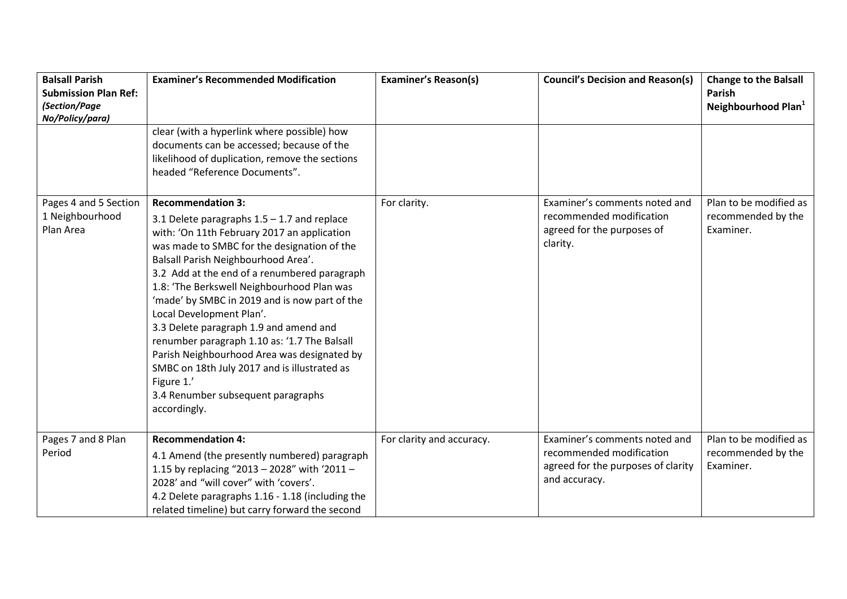| <b>Balsall Parish</b><br><b>Submission Plan Ref:</b>  | <b>Examiner's Recommended Modification</b>                                                                                                                                                                                                                                                                                                                                                                                                                                                                                                                                                                                                             | <b>Examiner's Reason(s)</b> | <b>Council's Decision and Reason(s)</b>                                                                          | <b>Change to the Balsall</b><br>Parish                    |
|-------------------------------------------------------|--------------------------------------------------------------------------------------------------------------------------------------------------------------------------------------------------------------------------------------------------------------------------------------------------------------------------------------------------------------------------------------------------------------------------------------------------------------------------------------------------------------------------------------------------------------------------------------------------------------------------------------------------------|-----------------------------|------------------------------------------------------------------------------------------------------------------|-----------------------------------------------------------|
| (Section/Page<br>No/Policy/para)                      |                                                                                                                                                                                                                                                                                                                                                                                                                                                                                                                                                                                                                                                        |                             |                                                                                                                  | Neighbourhood Plan <sup>1</sup>                           |
|                                                       | clear (with a hyperlink where possible) how<br>documents can be accessed; because of the<br>likelihood of duplication, remove the sections<br>headed "Reference Documents".                                                                                                                                                                                                                                                                                                                                                                                                                                                                            |                             |                                                                                                                  |                                                           |
| Pages 4 and 5 Section<br>1 Neighbourhood<br>Plan Area | <b>Recommendation 3:</b><br>3.1 Delete paragraphs $1.5 - 1.7$ and replace<br>with: 'On 11th February 2017 an application<br>was made to SMBC for the designation of the<br>Balsall Parish Neighbourhood Area'.<br>3.2 Add at the end of a renumbered paragraph<br>1.8: 'The Berkswell Neighbourhood Plan was<br>'made' by SMBC in 2019 and is now part of the<br>Local Development Plan'.<br>3.3 Delete paragraph 1.9 and amend and<br>renumber paragraph 1.10 as: '1.7 The Balsall<br>Parish Neighbourhood Area was designated by<br>SMBC on 18th July 2017 and is illustrated as<br>Figure 1.'<br>3.4 Renumber subsequent paragraphs<br>accordingly. | For clarity.                | Examiner's comments noted and<br>recommended modification<br>agreed for the purposes of<br>clarity.              | Plan to be modified as<br>recommended by the<br>Examiner. |
| Pages 7 and 8 Plan<br>Period                          | <b>Recommendation 4:</b><br>4.1 Amend (the presently numbered) paragraph<br>1.15 by replacing "2013 - 2028" with '2011 -<br>2028' and "will cover" with 'covers'.<br>4.2 Delete paragraphs 1.16 - 1.18 (including the<br>related timeline) but carry forward the second                                                                                                                                                                                                                                                                                                                                                                                | For clarity and accuracy.   | Examiner's comments noted and<br>recommended modification<br>agreed for the purposes of clarity<br>and accuracy. | Plan to be modified as<br>recommended by the<br>Examiner. |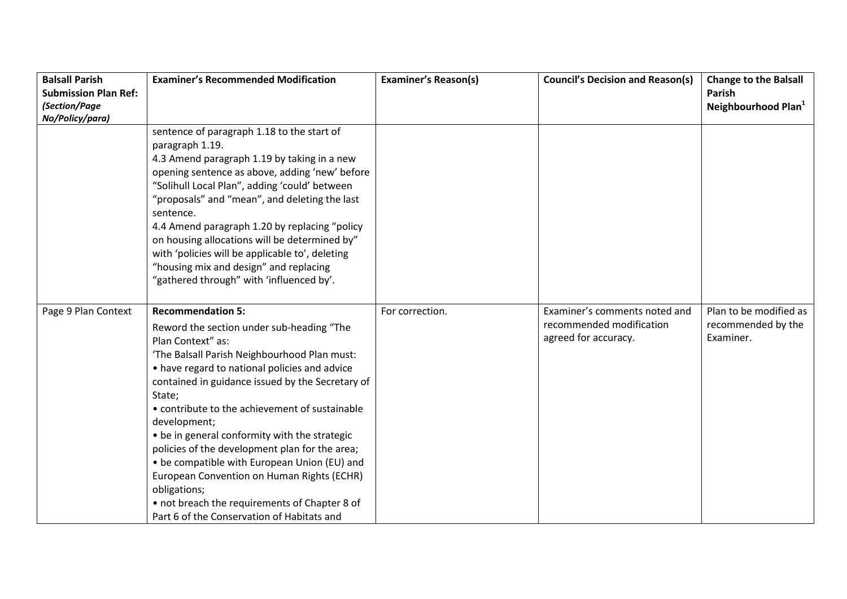| <b>Balsall Parish</b>       | <b>Examiner's Recommended Modification</b>       | <b>Examiner's Reason(s)</b> | <b>Council's Decision and Reason(s)</b> | <b>Change to the Balsall</b>    |
|-----------------------------|--------------------------------------------------|-----------------------------|-----------------------------------------|---------------------------------|
| <b>Submission Plan Ref:</b> |                                                  |                             |                                         | <b>Parish</b>                   |
| (Section/Page               |                                                  |                             |                                         | Neighbourhood Plan <sup>1</sup> |
| No/Policy/para)             |                                                  |                             |                                         |                                 |
|                             | sentence of paragraph 1.18 to the start of       |                             |                                         |                                 |
|                             | paragraph 1.19.                                  |                             |                                         |                                 |
|                             | 4.3 Amend paragraph 1.19 by taking in a new      |                             |                                         |                                 |
|                             | opening sentence as above, adding 'new' before   |                             |                                         |                                 |
|                             | "Solihull Local Plan", adding 'could' between    |                             |                                         |                                 |
|                             | "proposals" and "mean", and deleting the last    |                             |                                         |                                 |
|                             | sentence.                                        |                             |                                         |                                 |
|                             | 4.4 Amend paragraph 1.20 by replacing "policy    |                             |                                         |                                 |
|                             | on housing allocations will be determined by"    |                             |                                         |                                 |
|                             | with 'policies will be applicable to', deleting  |                             |                                         |                                 |
|                             | "housing mix and design" and replacing           |                             |                                         |                                 |
|                             | "gathered through" with 'influenced by'.         |                             |                                         |                                 |
|                             |                                                  |                             |                                         |                                 |
| Page 9 Plan Context         | <b>Recommendation 5:</b>                         | For correction.             | Examiner's comments noted and           | Plan to be modified as          |
|                             | Reword the section under sub-heading "The        |                             | recommended modification                | recommended by the              |
|                             | Plan Context" as:                                |                             | agreed for accuracy.                    | Examiner.                       |
|                             | 'The Balsall Parish Neighbourhood Plan must:     |                             |                                         |                                 |
|                             | • have regard to national policies and advice    |                             |                                         |                                 |
|                             | contained in guidance issued by the Secretary of |                             |                                         |                                 |
|                             | State;                                           |                             |                                         |                                 |
|                             | • contribute to the achievement of sustainable   |                             |                                         |                                 |
|                             | development;                                     |                             |                                         |                                 |
|                             | • be in general conformity with the strategic    |                             |                                         |                                 |
|                             | policies of the development plan for the area;   |                             |                                         |                                 |
|                             | • be compatible with European Union (EU) and     |                             |                                         |                                 |
|                             | European Convention on Human Rights (ECHR)       |                             |                                         |                                 |
|                             | obligations;                                     |                             |                                         |                                 |
|                             | • not breach the requirements of Chapter 8 of    |                             |                                         |                                 |
|                             | Part 6 of the Conservation of Habitats and       |                             |                                         |                                 |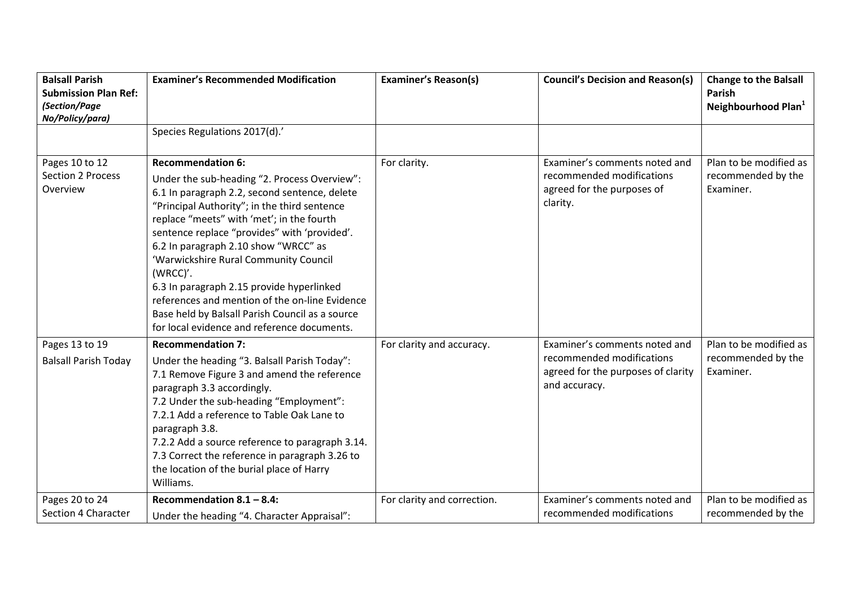| <b>Balsall Parish</b><br><b>Submission Plan Ref:</b><br>(Section/Page | <b>Examiner's Recommended Modification</b>                                                                                                                                                                                                                                                                                                                                                                                                                                                                                                                           | <b>Examiner's Reason(s)</b> | <b>Council's Decision and Reason(s)</b>                                                                           | <b>Change to the Balsall</b><br>Parish                    |
|-----------------------------------------------------------------------|----------------------------------------------------------------------------------------------------------------------------------------------------------------------------------------------------------------------------------------------------------------------------------------------------------------------------------------------------------------------------------------------------------------------------------------------------------------------------------------------------------------------------------------------------------------------|-----------------------------|-------------------------------------------------------------------------------------------------------------------|-----------------------------------------------------------|
| No/Policy/para)                                                       |                                                                                                                                                                                                                                                                                                                                                                                                                                                                                                                                                                      |                             |                                                                                                                   | Neighbourhood Plan <sup>1</sup>                           |
|                                                                       | Species Regulations 2017(d).'                                                                                                                                                                                                                                                                                                                                                                                                                                                                                                                                        |                             |                                                                                                                   |                                                           |
| Pages 10 to 12<br><b>Section 2 Process</b><br>Overview                | <b>Recommendation 6:</b><br>Under the sub-heading "2. Process Overview":<br>6.1 In paragraph 2.2, second sentence, delete<br>"Principal Authority"; in the third sentence<br>replace "meets" with 'met'; in the fourth<br>sentence replace "provides" with 'provided'.<br>6.2 In paragraph 2.10 show "WRCC" as<br>'Warwickshire Rural Community Council<br>(WRCC)'.<br>6.3 In paragraph 2.15 provide hyperlinked<br>references and mention of the on-line Evidence<br>Base held by Balsall Parish Council as a source<br>for local evidence and reference documents. | For clarity.                | Examiner's comments noted and<br>recommended modifications<br>agreed for the purposes of<br>clarity.              | Plan to be modified as<br>recommended by the<br>Examiner. |
| Pages 13 to 19<br><b>Balsall Parish Today</b>                         | <b>Recommendation 7:</b><br>Under the heading "3. Balsall Parish Today":<br>7.1 Remove Figure 3 and amend the reference<br>paragraph 3.3 accordingly.<br>7.2 Under the sub-heading "Employment":<br>7.2.1 Add a reference to Table Oak Lane to<br>paragraph 3.8.<br>7.2.2 Add a source reference to paragraph 3.14.<br>7.3 Correct the reference in paragraph 3.26 to<br>the location of the burial place of Harry<br>Williams.                                                                                                                                      | For clarity and accuracy.   | Examiner's comments noted and<br>recommended modifications<br>agreed for the purposes of clarity<br>and accuracy. | Plan to be modified as<br>recommended by the<br>Examiner. |
| Pages 20 to 24<br>Section 4 Character                                 | Recommendation $8.1 - 8.4$ :<br>Under the heading "4. Character Appraisal":                                                                                                                                                                                                                                                                                                                                                                                                                                                                                          | For clarity and correction. | Examiner's comments noted and<br>recommended modifications                                                        | Plan to be modified as<br>recommended by the              |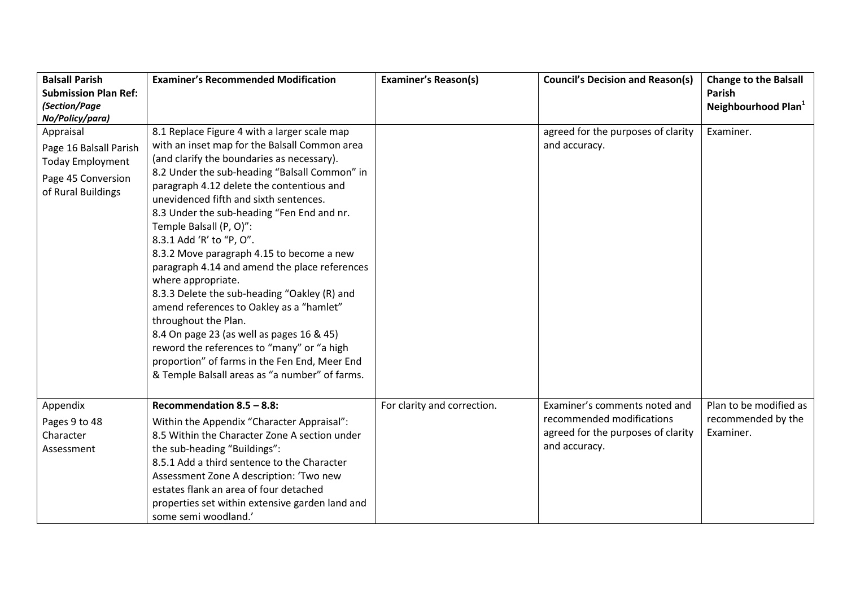| <b>Balsall Parish</b>       | <b>Examiner's Recommended Modification</b>      | <b>Examiner's Reason(s)</b> | <b>Council's Decision and Reason(s)</b> | <b>Change to the Balsall</b>    |
|-----------------------------|-------------------------------------------------|-----------------------------|-----------------------------------------|---------------------------------|
| <b>Submission Plan Ref:</b> |                                                 |                             |                                         | Parish                          |
| (Section/Page               |                                                 |                             |                                         | Neighbourhood Plan <sup>1</sup> |
| No/Policy/para)             |                                                 |                             |                                         |                                 |
| Appraisal                   | 8.1 Replace Figure 4 with a larger scale map    |                             | agreed for the purposes of clarity      | Examiner.                       |
| Page 16 Balsall Parish      | with an inset map for the Balsall Common area   |                             | and accuracy.                           |                                 |
| Today Employment            | (and clarify the boundaries as necessary).      |                             |                                         |                                 |
| Page 45 Conversion          | 8.2 Under the sub-heading "Balsall Common" in   |                             |                                         |                                 |
| of Rural Buildings          | paragraph 4.12 delete the contentious and       |                             |                                         |                                 |
|                             | unevidenced fifth and sixth sentences.          |                             |                                         |                                 |
|                             | 8.3 Under the sub-heading "Fen End and nr.      |                             |                                         |                                 |
|                             | Temple Balsall (P, O)":                         |                             |                                         |                                 |
|                             | 8.3.1 Add 'R' to "P, O".                        |                             |                                         |                                 |
|                             | 8.3.2 Move paragraph 4.15 to become a new       |                             |                                         |                                 |
|                             | paragraph 4.14 and amend the place references   |                             |                                         |                                 |
|                             | where appropriate.                              |                             |                                         |                                 |
|                             | 8.3.3 Delete the sub-heading "Oakley (R) and    |                             |                                         |                                 |
|                             | amend references to Oakley as a "hamlet"        |                             |                                         |                                 |
|                             | throughout the Plan.                            |                             |                                         |                                 |
|                             | 8.4 On page 23 (as well as pages 16 & 45)       |                             |                                         |                                 |
|                             | reword the references to "many" or "a high      |                             |                                         |                                 |
|                             | proportion" of farms in the Fen End, Meer End   |                             |                                         |                                 |
|                             | & Temple Balsall areas as "a number" of farms.  |                             |                                         |                                 |
|                             |                                                 |                             |                                         |                                 |
| Appendix                    | Recommendation $8.5 - 8.8$ :                    | For clarity and correction. | Examiner's comments noted and           | Plan to be modified as          |
| Pages 9 to 48               | Within the Appendix "Character Appraisal":      |                             | recommended modifications               | recommended by the              |
| Character                   | 8.5 Within the Character Zone A section under   |                             | agreed for the purposes of clarity      | Examiner.                       |
| Assessment                  | the sub-heading "Buildings":                    |                             | and accuracy.                           |                                 |
|                             | 8.5.1 Add a third sentence to the Character     |                             |                                         |                                 |
|                             | Assessment Zone A description: 'Two new         |                             |                                         |                                 |
|                             | estates flank an area of four detached          |                             |                                         |                                 |
|                             | properties set within extensive garden land and |                             |                                         |                                 |
|                             | some semi woodland.'                            |                             |                                         |                                 |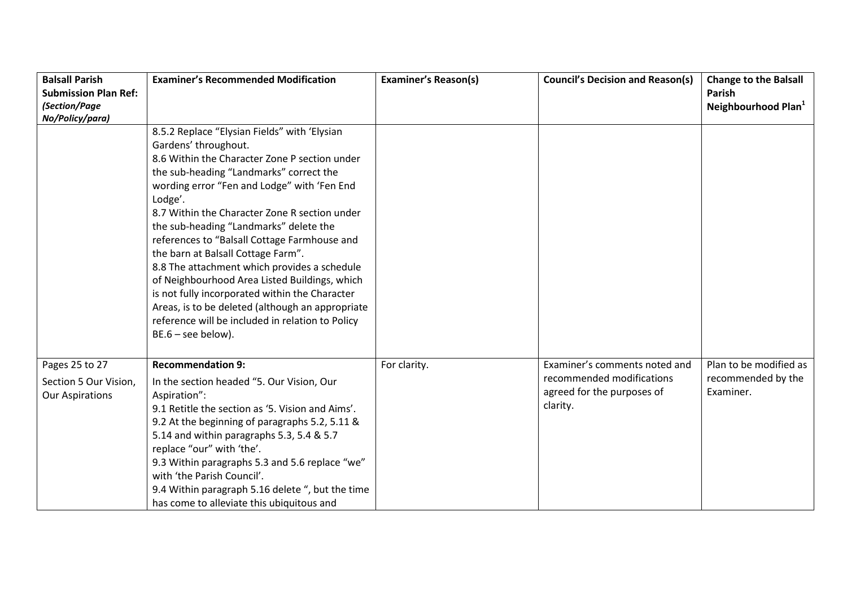| <b>Balsall Parish</b>       | <b>Examiner's Recommended Modification</b>       | <b>Examiner's Reason(s)</b> | <b>Council's Decision and Reason(s)</b> | <b>Change to the Balsall</b>    |
|-----------------------------|--------------------------------------------------|-----------------------------|-----------------------------------------|---------------------------------|
| <b>Submission Plan Ref:</b> |                                                  |                             |                                         | Parish                          |
| (Section/Page               |                                                  |                             |                                         | Neighbourhood Plan <sup>1</sup> |
| No/Policy/para)             |                                                  |                             |                                         |                                 |
|                             | 8.5.2 Replace "Elysian Fields" with 'Elysian     |                             |                                         |                                 |
|                             | Gardens' throughout.                             |                             |                                         |                                 |
|                             | 8.6 Within the Character Zone P section under    |                             |                                         |                                 |
|                             | the sub-heading "Landmarks" correct the          |                             |                                         |                                 |
|                             | wording error "Fen and Lodge" with 'Fen End      |                             |                                         |                                 |
|                             | Lodge'.                                          |                             |                                         |                                 |
|                             | 8.7 Within the Character Zone R section under    |                             |                                         |                                 |
|                             | the sub-heading "Landmarks" delete the           |                             |                                         |                                 |
|                             | references to "Balsall Cottage Farmhouse and     |                             |                                         |                                 |
|                             | the barn at Balsall Cottage Farm".               |                             |                                         |                                 |
|                             | 8.8 The attachment which provides a schedule     |                             |                                         |                                 |
|                             | of Neighbourhood Area Listed Buildings, which    |                             |                                         |                                 |
|                             | is not fully incorporated within the Character   |                             |                                         |                                 |
|                             | Areas, is to be deleted (although an appropriate |                             |                                         |                                 |
|                             | reference will be included in relation to Policy |                             |                                         |                                 |
|                             | $BE.6 - see below$ ).                            |                             |                                         |                                 |
|                             |                                                  |                             |                                         |                                 |
| Pages 25 to 27              | <b>Recommendation 9:</b>                         | For clarity.                | Examiner's comments noted and           | Plan to be modified as          |
| Section 5 Our Vision,       | In the section headed "5. Our Vision, Our        |                             | recommended modifications               | recommended by the              |
| <b>Our Aspirations</b>      | Aspiration":                                     |                             | agreed for the purposes of              | Examiner.                       |
|                             | 9.1 Retitle the section as '5. Vision and Aims'. |                             | clarity.                                |                                 |
|                             | 9.2 At the beginning of paragraphs 5.2, 5.11 &   |                             |                                         |                                 |
|                             | 5.14 and within paragraphs 5.3, 5.4 & 5.7        |                             |                                         |                                 |
|                             | replace "our" with 'the'.                        |                             |                                         |                                 |
|                             | 9.3 Within paragraphs 5.3 and 5.6 replace "we"   |                             |                                         |                                 |
|                             | with 'the Parish Council'.                       |                             |                                         |                                 |
|                             | 9.4 Within paragraph 5.16 delete ", but the time |                             |                                         |                                 |
|                             | has come to alleviate this ubiquitous and        |                             |                                         |                                 |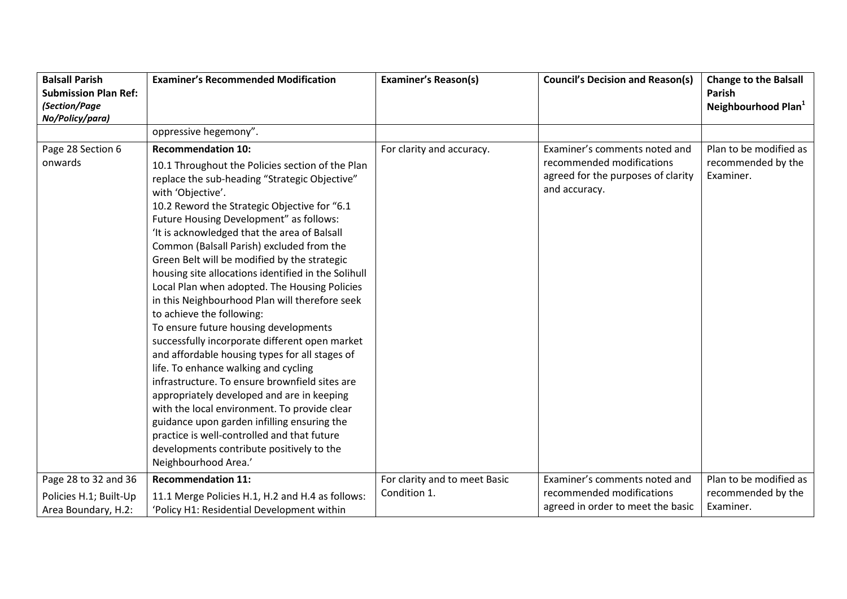| <b>Balsall Parish</b>        | <b>Examiner's Recommended Modification</b>                                                                                                                                                                                                                                                                                                                                                                                                                                                                                                                                                                                                                                    | <b>Examiner's Reason(s)</b>   | <b>Council's Decision and Reason(s)</b>                                                                           | <b>Change to the Balsall</b>                              |
|------------------------------|-------------------------------------------------------------------------------------------------------------------------------------------------------------------------------------------------------------------------------------------------------------------------------------------------------------------------------------------------------------------------------------------------------------------------------------------------------------------------------------------------------------------------------------------------------------------------------------------------------------------------------------------------------------------------------|-------------------------------|-------------------------------------------------------------------------------------------------------------------|-----------------------------------------------------------|
| <b>Submission Plan Ref:</b>  |                                                                                                                                                                                                                                                                                                                                                                                                                                                                                                                                                                                                                                                                               |                               |                                                                                                                   | Parish                                                    |
| (Section/Page                |                                                                                                                                                                                                                                                                                                                                                                                                                                                                                                                                                                                                                                                                               |                               |                                                                                                                   | Neighbourhood Plan <sup>1</sup>                           |
| No/Policy/para)              |                                                                                                                                                                                                                                                                                                                                                                                                                                                                                                                                                                                                                                                                               |                               |                                                                                                                   |                                                           |
|                              | oppressive hegemony".                                                                                                                                                                                                                                                                                                                                                                                                                                                                                                                                                                                                                                                         |                               |                                                                                                                   |                                                           |
| Page 28 Section 6<br>onwards | <b>Recommendation 10:</b><br>10.1 Throughout the Policies section of the Plan<br>replace the sub-heading "Strategic Objective"<br>with 'Objective'.<br>10.2 Reword the Strategic Objective for "6.1<br>Future Housing Development" as follows:<br>'It is acknowledged that the area of Balsall<br>Common (Balsall Parish) excluded from the<br>Green Belt will be modified by the strategic<br>housing site allocations identified in the Solihull<br>Local Plan when adopted. The Housing Policies<br>in this Neighbourhood Plan will therefore seek<br>to achieve the following:<br>To ensure future housing developments<br>successfully incorporate different open market | For clarity and accuracy.     | Examiner's comments noted and<br>recommended modifications<br>agreed for the purposes of clarity<br>and accuracy. | Plan to be modified as<br>recommended by the<br>Examiner. |
|                              | and affordable housing types for all stages of<br>life. To enhance walking and cycling<br>infrastructure. To ensure brownfield sites are<br>appropriately developed and are in keeping<br>with the local environment. To provide clear<br>guidance upon garden infilling ensuring the<br>practice is well-controlled and that future<br>developments contribute positively to the<br>Neighbourhood Area.'                                                                                                                                                                                                                                                                     |                               |                                                                                                                   |                                                           |
| Page 28 to 32 and 36         | <b>Recommendation 11:</b>                                                                                                                                                                                                                                                                                                                                                                                                                                                                                                                                                                                                                                                     | For clarity and to meet Basic | Examiner's comments noted and                                                                                     | Plan to be modified as                                    |
| Policies H.1; Built-Up       | 11.1 Merge Policies H.1, H.2 and H.4 as follows:                                                                                                                                                                                                                                                                                                                                                                                                                                                                                                                                                                                                                              | Condition 1.                  | recommended modifications                                                                                         | recommended by the                                        |
| Area Boundary, H.2:          | 'Policy H1: Residential Development within                                                                                                                                                                                                                                                                                                                                                                                                                                                                                                                                                                                                                                    |                               | agreed in order to meet the basic                                                                                 | Examiner.                                                 |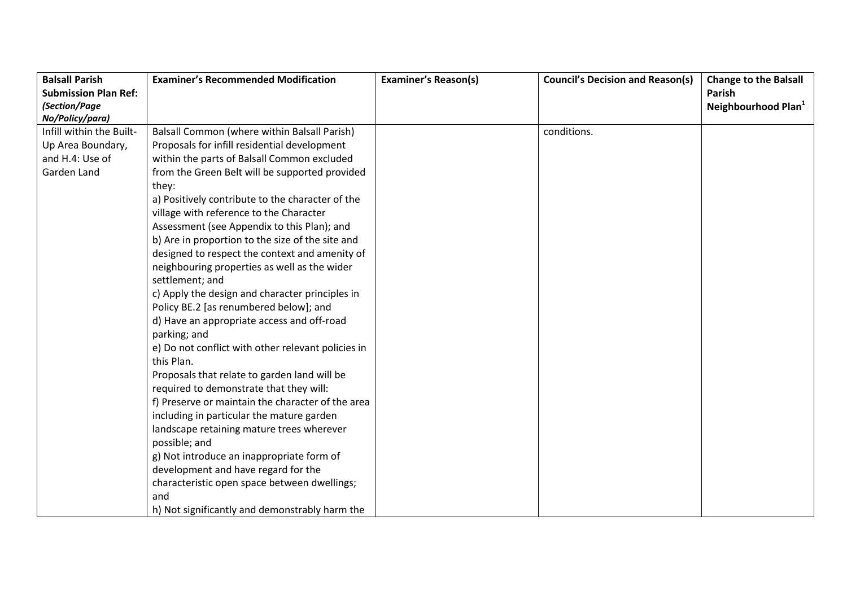| <b>Balsall Parish</b>       | <b>Examiner's Recommended Modification</b>         | <b>Examiner's Reason(s)</b> | <b>Council's Decision and Reason(s)</b> | <b>Change to the Balsall</b>    |
|-----------------------------|----------------------------------------------------|-----------------------------|-----------------------------------------|---------------------------------|
| <b>Submission Plan Ref:</b> |                                                    |                             |                                         | Parish                          |
| (Section/Page               |                                                    |                             |                                         | Neighbourhood Plan <sup>1</sup> |
| No/Policy/para)             |                                                    |                             |                                         |                                 |
| Infill within the Built-    | Balsall Common (where within Balsall Parish)       |                             | conditions.                             |                                 |
| Up Area Boundary,           | Proposals for infill residential development       |                             |                                         |                                 |
| and H.4: Use of             | within the parts of Balsall Common excluded        |                             |                                         |                                 |
| Garden Land                 | from the Green Belt will be supported provided     |                             |                                         |                                 |
|                             | they:                                              |                             |                                         |                                 |
|                             | a) Positively contribute to the character of the   |                             |                                         |                                 |
|                             | village with reference to the Character            |                             |                                         |                                 |
|                             | Assessment (see Appendix to this Plan); and        |                             |                                         |                                 |
|                             | b) Are in proportion to the size of the site and   |                             |                                         |                                 |
|                             | designed to respect the context and amenity of     |                             |                                         |                                 |
|                             | neighbouring properties as well as the wider       |                             |                                         |                                 |
|                             | settlement; and                                    |                             |                                         |                                 |
|                             | c) Apply the design and character principles in    |                             |                                         |                                 |
|                             | Policy BE.2 [as renumbered below]; and             |                             |                                         |                                 |
|                             | d) Have an appropriate access and off-road         |                             |                                         |                                 |
|                             | parking; and                                       |                             |                                         |                                 |
|                             | e) Do not conflict with other relevant policies in |                             |                                         |                                 |
|                             | this Plan.                                         |                             |                                         |                                 |
|                             | Proposals that relate to garden land will be       |                             |                                         |                                 |
|                             | required to demonstrate that they will:            |                             |                                         |                                 |
|                             | f) Preserve or maintain the character of the area  |                             |                                         |                                 |
|                             | including in particular the mature garden          |                             |                                         |                                 |
|                             | landscape retaining mature trees wherever          |                             |                                         |                                 |
|                             | possible; and                                      |                             |                                         |                                 |
|                             | g) Not introduce an inappropriate form of          |                             |                                         |                                 |
|                             | development and have regard for the                |                             |                                         |                                 |
|                             | characteristic open space between dwellings;       |                             |                                         |                                 |
|                             | and                                                |                             |                                         |                                 |
|                             | h) Not significantly and demonstrably harm the     |                             |                                         |                                 |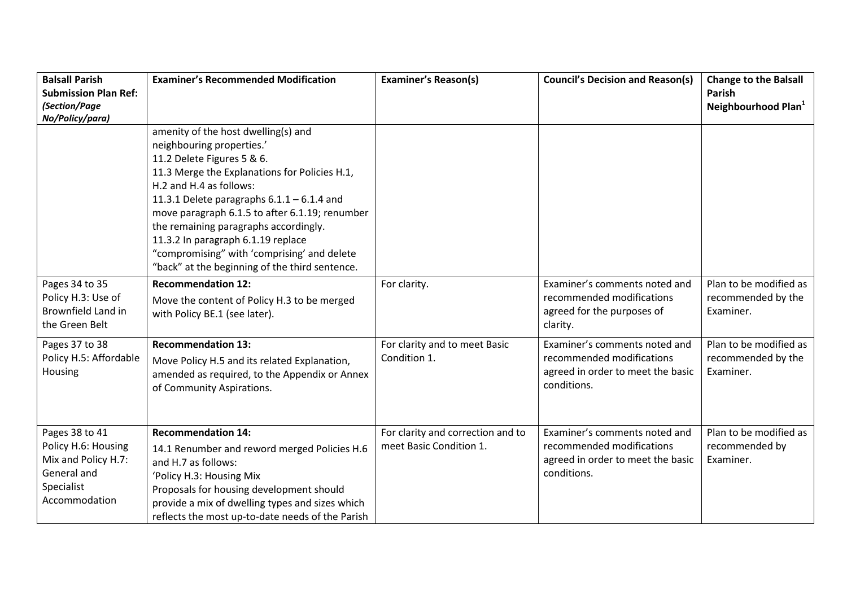| <b>Balsall Parish</b><br><b>Submission Plan Ref:</b><br>(Section/Page<br>No/Policy/para)                   | <b>Examiner's Recommended Modification</b>                                                                                                                                                                                                                                                                                                                                                                                                                   | <b>Examiner's Reason(s)</b>                                  | <b>Council's Decision and Reason(s)</b>                                                                        | <b>Change to the Balsall</b><br>Parish<br>Neighbourhood Plan <sup>1</sup> |
|------------------------------------------------------------------------------------------------------------|--------------------------------------------------------------------------------------------------------------------------------------------------------------------------------------------------------------------------------------------------------------------------------------------------------------------------------------------------------------------------------------------------------------------------------------------------------------|--------------------------------------------------------------|----------------------------------------------------------------------------------------------------------------|---------------------------------------------------------------------------|
|                                                                                                            | amenity of the host dwelling(s) and<br>neighbouring properties.'<br>11.2 Delete Figures 5 & 6.<br>11.3 Merge the Explanations for Policies H.1,<br>H.2 and H.4 as follows:<br>11.3.1 Delete paragraphs $6.1.1 - 6.1.4$ and<br>move paragraph 6.1.5 to after 6.1.19; renumber<br>the remaining paragraphs accordingly.<br>11.3.2 In paragraph 6.1.19 replace<br>"compromising" with 'comprising' and delete<br>"back" at the beginning of the third sentence. |                                                              |                                                                                                                |                                                                           |
| Pages 34 to 35<br>Policy H.3: Use of<br>Brownfield Land in<br>the Green Belt                               | <b>Recommendation 12:</b><br>Move the content of Policy H.3 to be merged<br>with Policy BE.1 (see later).                                                                                                                                                                                                                                                                                                                                                    | For clarity.                                                 | Examiner's comments noted and<br>recommended modifications<br>agreed for the purposes of<br>clarity.           | Plan to be modified as<br>recommended by the<br>Examiner.                 |
| Pages 37 to 38<br>Policy H.5: Affordable<br>Housing                                                        | <b>Recommendation 13:</b><br>Move Policy H.5 and its related Explanation,<br>amended as required, to the Appendix or Annex<br>of Community Aspirations.                                                                                                                                                                                                                                                                                                      | For clarity and to meet Basic<br>Condition 1.                | Examiner's comments noted and<br>recommended modifications<br>agreed in order to meet the basic<br>conditions. | Plan to be modified as<br>recommended by the<br>Examiner.                 |
| Pages 38 to 41<br>Policy H.6: Housing<br>Mix and Policy H.7:<br>General and<br>Specialist<br>Accommodation | <b>Recommendation 14:</b><br>14.1 Renumber and reword merged Policies H.6<br>and H.7 as follows:<br>'Policy H.3: Housing Mix<br>Proposals for housing development should<br>provide a mix of dwelling types and sizes which<br>reflects the most up-to-date needs of the Parish                                                                                                                                                                              | For clarity and correction and to<br>meet Basic Condition 1. | Examiner's comments noted and<br>recommended modifications<br>agreed in order to meet the basic<br>conditions. | Plan to be modified as<br>recommended by<br>Examiner.                     |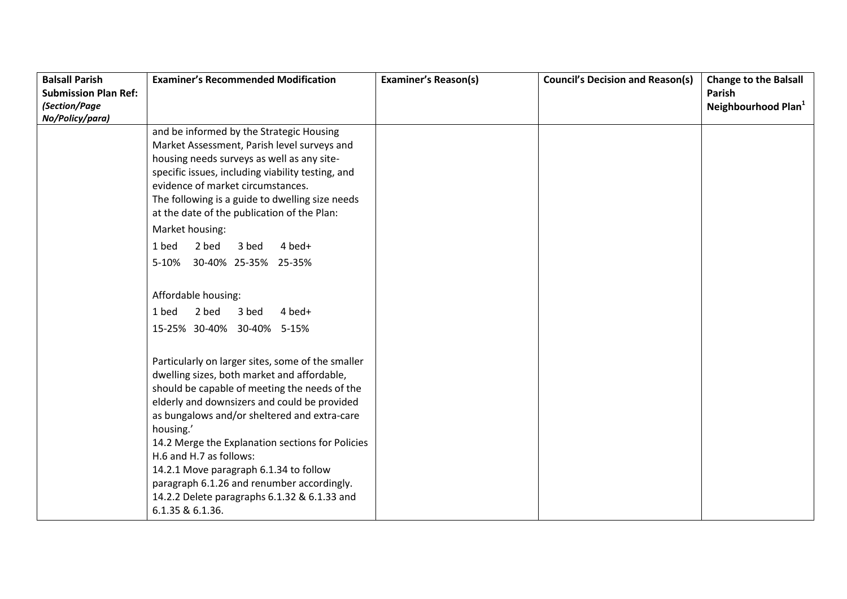| <b>Balsall Parish</b>       | <b>Examiner's Recommended Modification</b>                                                                                                                                                                                                                                                                                                                                                                                                                                                                | <b>Examiner's Reason(s)</b> | <b>Council's Decision and Reason(s)</b> | <b>Change to the Balsall</b>    |
|-----------------------------|-----------------------------------------------------------------------------------------------------------------------------------------------------------------------------------------------------------------------------------------------------------------------------------------------------------------------------------------------------------------------------------------------------------------------------------------------------------------------------------------------------------|-----------------------------|-----------------------------------------|---------------------------------|
| <b>Submission Plan Ref:</b> |                                                                                                                                                                                                                                                                                                                                                                                                                                                                                                           |                             |                                         | Parish                          |
| (Section/Page               |                                                                                                                                                                                                                                                                                                                                                                                                                                                                                                           |                             |                                         | Neighbourhood Plan <sup>1</sup> |
| No/Policy/para)             |                                                                                                                                                                                                                                                                                                                                                                                                                                                                                                           |                             |                                         |                                 |
|                             | and be informed by the Strategic Housing                                                                                                                                                                                                                                                                                                                                                                                                                                                                  |                             |                                         |                                 |
|                             | Market Assessment, Parish level surveys and                                                                                                                                                                                                                                                                                                                                                                                                                                                               |                             |                                         |                                 |
|                             | housing needs surveys as well as any site-                                                                                                                                                                                                                                                                                                                                                                                                                                                                |                             |                                         |                                 |
|                             | specific issues, including viability testing, and                                                                                                                                                                                                                                                                                                                                                                                                                                                         |                             |                                         |                                 |
|                             | evidence of market circumstances.                                                                                                                                                                                                                                                                                                                                                                                                                                                                         |                             |                                         |                                 |
|                             | The following is a guide to dwelling size needs                                                                                                                                                                                                                                                                                                                                                                                                                                                           |                             |                                         |                                 |
|                             | at the date of the publication of the Plan:                                                                                                                                                                                                                                                                                                                                                                                                                                                               |                             |                                         |                                 |
|                             | Market housing:                                                                                                                                                                                                                                                                                                                                                                                                                                                                                           |                             |                                         |                                 |
|                             | 2 bed<br>4 bed+<br>1 bed<br>3 bed                                                                                                                                                                                                                                                                                                                                                                                                                                                                         |                             |                                         |                                 |
|                             | 30-40% 25-35% 25-35%<br>5-10%                                                                                                                                                                                                                                                                                                                                                                                                                                                                             |                             |                                         |                                 |
|                             |                                                                                                                                                                                                                                                                                                                                                                                                                                                                                                           |                             |                                         |                                 |
|                             | Affordable housing:                                                                                                                                                                                                                                                                                                                                                                                                                                                                                       |                             |                                         |                                 |
|                             | 2 bed<br>3 bed<br>4 bed+<br>1 bed                                                                                                                                                                                                                                                                                                                                                                                                                                                                         |                             |                                         |                                 |
|                             | 15-25% 30-40% 30-40% 5-15%                                                                                                                                                                                                                                                                                                                                                                                                                                                                                |                             |                                         |                                 |
|                             | Particularly on larger sites, some of the smaller<br>dwelling sizes, both market and affordable,<br>should be capable of meeting the needs of the<br>elderly and downsizers and could be provided<br>as bungalows and/or sheltered and extra-care<br>housing.'<br>14.2 Merge the Explanation sections for Policies<br>H.6 and H.7 as follows:<br>14.2.1 Move paragraph 6.1.34 to follow<br>paragraph 6.1.26 and renumber accordingly.<br>14.2.2 Delete paragraphs 6.1.32 & 6.1.33 and<br>6.1.35 & 6.1.36. |                             |                                         |                                 |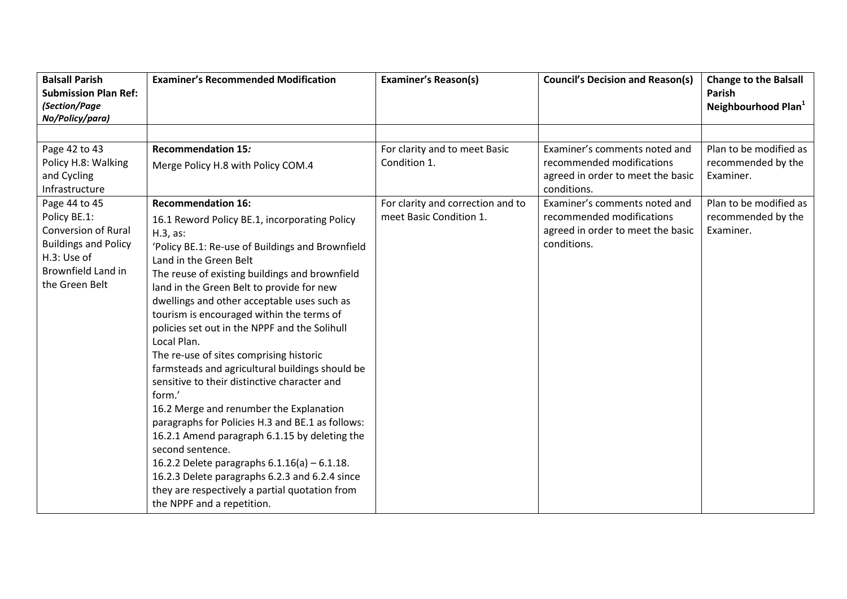| <b>Balsall Parish</b><br><b>Submission Plan Ref:</b><br>(Section/Page<br>No/Policy/para)                  | <b>Examiner's Recommended Modification</b>                                                                                                                                                                                                                                                                                                                                                                                                                                                                                                                                                                                                                                                                                                                                                                                                                                                                             | <b>Examiner's Reason(s)</b>                                                                                   | <b>Council's Decision and Reason(s)</b>                                                                                                                                      | <b>Change to the Balsall</b><br>Parish<br>Neighbourhood Plan <sup>1</sup>                                 |
|-----------------------------------------------------------------------------------------------------------|------------------------------------------------------------------------------------------------------------------------------------------------------------------------------------------------------------------------------------------------------------------------------------------------------------------------------------------------------------------------------------------------------------------------------------------------------------------------------------------------------------------------------------------------------------------------------------------------------------------------------------------------------------------------------------------------------------------------------------------------------------------------------------------------------------------------------------------------------------------------------------------------------------------------|---------------------------------------------------------------------------------------------------------------|------------------------------------------------------------------------------------------------------------------------------------------------------------------------------|-----------------------------------------------------------------------------------------------------------|
| Page 42 to 43<br>Policy H.8: Walking<br>and Cycling<br>Infrastructure<br>Page 44 to 45<br>Policy BE.1:    | <b>Recommendation 15:</b><br>Merge Policy H.8 with Policy COM.4<br><b>Recommendation 16:</b>                                                                                                                                                                                                                                                                                                                                                                                                                                                                                                                                                                                                                                                                                                                                                                                                                           | For clarity and to meet Basic<br>Condition 1.<br>For clarity and correction and to<br>meet Basic Condition 1. | Examiner's comments noted and<br>recommended modifications<br>agreed in order to meet the basic<br>conditions.<br>Examiner's comments noted and<br>recommended modifications | Plan to be modified as<br>recommended by the<br>Examiner.<br>Plan to be modified as<br>recommended by the |
| Conversion of Rural<br><b>Buildings and Policy</b><br>H.3: Use of<br>Brownfield Land in<br>the Green Belt | 16.1 Reword Policy BE.1, incorporating Policy<br>$H.3$ , as:<br>'Policy BE.1: Re-use of Buildings and Brownfield<br>Land in the Green Belt<br>The reuse of existing buildings and brownfield<br>land in the Green Belt to provide for new<br>dwellings and other acceptable uses such as<br>tourism is encouraged within the terms of<br>policies set out in the NPPF and the Solihull<br>Local Plan.<br>The re-use of sites comprising historic<br>farmsteads and agricultural buildings should be<br>sensitive to their distinctive character and<br>form.'<br>16.2 Merge and renumber the Explanation<br>paragraphs for Policies H.3 and BE.1 as follows:<br>16.2.1 Amend paragraph 6.1.15 by deleting the<br>second sentence.<br>16.2.2 Delete paragraphs $6.1.16(a) - 6.1.18$ .<br>16.2.3 Delete paragraphs 6.2.3 and 6.2.4 since<br>they are respectively a partial quotation from<br>the NPPF and a repetition. |                                                                                                               | agreed in order to meet the basic<br>conditions.                                                                                                                             | Examiner.                                                                                                 |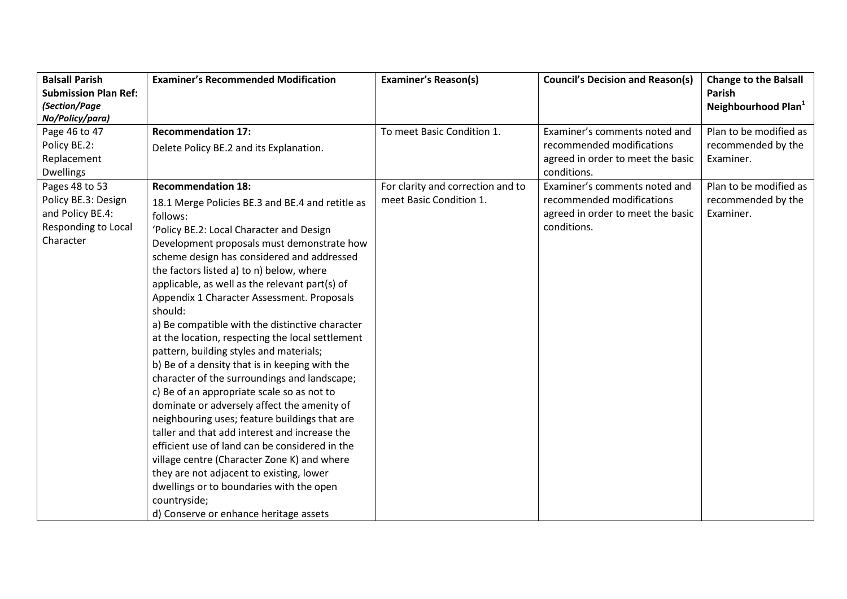| <b>Balsall Parish</b>       | <b>Examiner's Recommended Modification</b>       | <b>Examiner's Reason(s)</b>       | <b>Council's Decision and Reason(s)</b> | <b>Change to the Balsall</b>    |
|-----------------------------|--------------------------------------------------|-----------------------------------|-----------------------------------------|---------------------------------|
| <b>Submission Plan Ref:</b> |                                                  |                                   |                                         | <b>Parish</b>                   |
| (Section/Page               |                                                  |                                   |                                         | Neighbourhood Plan <sup>1</sup> |
| No/Policy/para)             |                                                  |                                   |                                         |                                 |
| Page 46 to 47               | <b>Recommendation 17:</b>                        | To meet Basic Condition 1.        | Examiner's comments noted and           | Plan to be modified as          |
| Policy BE.2:                | Delete Policy BE.2 and its Explanation.          |                                   | recommended modifications               | recommended by the              |
| Replacement                 |                                                  |                                   | agreed in order to meet the basic       | Examiner.                       |
| <b>Dwellings</b>            |                                                  |                                   | conditions.                             |                                 |
| Pages 48 to 53              | <b>Recommendation 18:</b>                        | For clarity and correction and to | Examiner's comments noted and           | Plan to be modified as          |
| Policy BE.3: Design         | 18.1 Merge Policies BE.3 and BE.4 and retitle as | meet Basic Condition 1.           | recommended modifications               | recommended by the              |
| and Policy BE.4:            | follows:                                         |                                   | agreed in order to meet the basic       | Examiner.                       |
| Responding to Local         | 'Policy BE.2: Local Character and Design         |                                   | conditions.                             |                                 |
| Character                   | Development proposals must demonstrate how       |                                   |                                         |                                 |
|                             | scheme design has considered and addressed       |                                   |                                         |                                 |
|                             | the factors listed a) to n) below, where         |                                   |                                         |                                 |
|                             | applicable, as well as the relevant part(s) of   |                                   |                                         |                                 |
|                             | Appendix 1 Character Assessment. Proposals       |                                   |                                         |                                 |
|                             | should:                                          |                                   |                                         |                                 |
|                             | a) Be compatible with the distinctive character  |                                   |                                         |                                 |
|                             | at the location, respecting the local settlement |                                   |                                         |                                 |
|                             | pattern, building styles and materials;          |                                   |                                         |                                 |
|                             | b) Be of a density that is in keeping with the   |                                   |                                         |                                 |
|                             | character of the surroundings and landscape;     |                                   |                                         |                                 |
|                             | c) Be of an appropriate scale so as not to       |                                   |                                         |                                 |
|                             | dominate or adversely affect the amenity of      |                                   |                                         |                                 |
|                             | neighbouring uses; feature buildings that are    |                                   |                                         |                                 |
|                             | taller and that add interest and increase the    |                                   |                                         |                                 |
|                             | efficient use of land can be considered in the   |                                   |                                         |                                 |
|                             | village centre (Character Zone K) and where      |                                   |                                         |                                 |
|                             | they are not adjacent to existing, lower         |                                   |                                         |                                 |
|                             | dwellings or to boundaries with the open         |                                   |                                         |                                 |
|                             | countryside;                                     |                                   |                                         |                                 |
|                             | d) Conserve or enhance heritage assets           |                                   |                                         |                                 |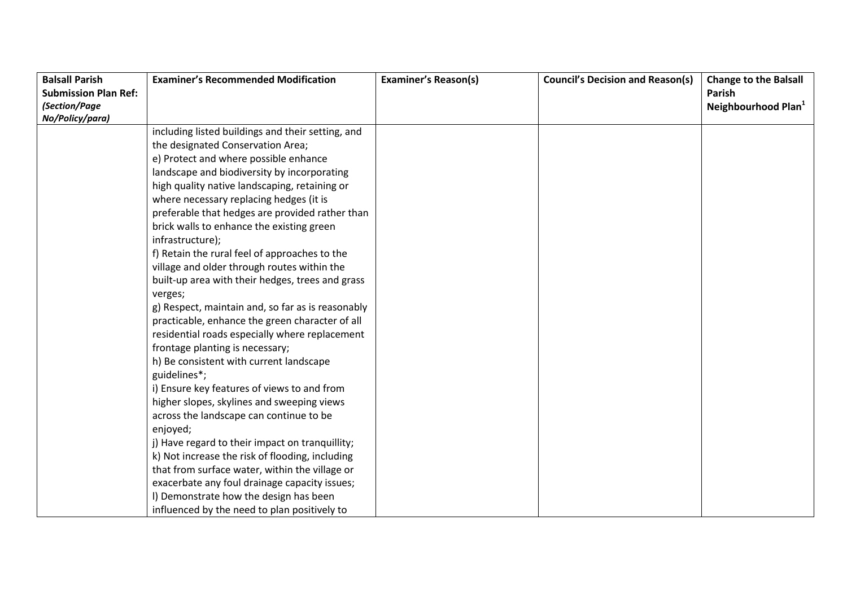| <b>Balsall Parish</b>       | <b>Examiner's Recommended Modification</b>        | <b>Examiner's Reason(s)</b> | <b>Council's Decision and Reason(s)</b> | <b>Change to the Balsall</b>    |
|-----------------------------|---------------------------------------------------|-----------------------------|-----------------------------------------|---------------------------------|
| <b>Submission Plan Ref:</b> |                                                   |                             |                                         | Parish                          |
| (Section/Page               |                                                   |                             |                                         | Neighbourhood Plan <sup>1</sup> |
| No/Policy/para)             |                                                   |                             |                                         |                                 |
|                             | including listed buildings and their setting, and |                             |                                         |                                 |
|                             | the designated Conservation Area;                 |                             |                                         |                                 |
|                             | e) Protect and where possible enhance             |                             |                                         |                                 |
|                             | landscape and biodiversity by incorporating       |                             |                                         |                                 |
|                             | high quality native landscaping, retaining or     |                             |                                         |                                 |
|                             | where necessary replacing hedges (it is           |                             |                                         |                                 |
|                             | preferable that hedges are provided rather than   |                             |                                         |                                 |
|                             | brick walls to enhance the existing green         |                             |                                         |                                 |
|                             | infrastructure);                                  |                             |                                         |                                 |
|                             | f) Retain the rural feel of approaches to the     |                             |                                         |                                 |
|                             | village and older through routes within the       |                             |                                         |                                 |
|                             | built-up area with their hedges, trees and grass  |                             |                                         |                                 |
|                             | verges;                                           |                             |                                         |                                 |
|                             | g) Respect, maintain and, so far as is reasonably |                             |                                         |                                 |
|                             | practicable, enhance the green character of all   |                             |                                         |                                 |
|                             | residential roads especially where replacement    |                             |                                         |                                 |
|                             | frontage planting is necessary;                   |                             |                                         |                                 |
|                             | h) Be consistent with current landscape           |                             |                                         |                                 |
|                             | guidelines*;                                      |                             |                                         |                                 |
|                             | i) Ensure key features of views to and from       |                             |                                         |                                 |
|                             | higher slopes, skylines and sweeping views        |                             |                                         |                                 |
|                             | across the landscape can continue to be           |                             |                                         |                                 |
|                             | enjoyed;                                          |                             |                                         |                                 |
|                             | j) Have regard to their impact on tranquillity;   |                             |                                         |                                 |
|                             | k) Not increase the risk of flooding, including   |                             |                                         |                                 |
|                             | that from surface water, within the village or    |                             |                                         |                                 |
|                             | exacerbate any foul drainage capacity issues;     |                             |                                         |                                 |
|                             | I) Demonstrate how the design has been            |                             |                                         |                                 |
|                             | influenced by the need to plan positively to      |                             |                                         |                                 |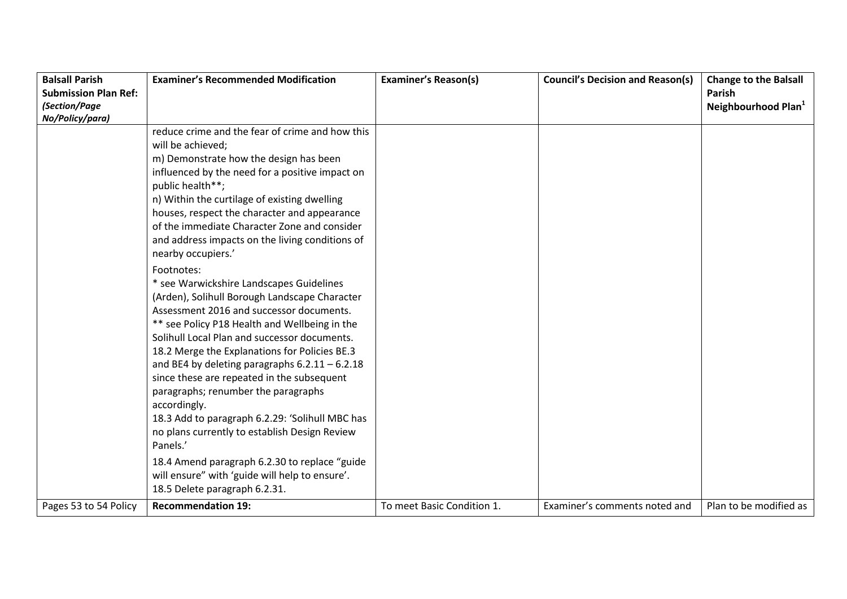| <b>Balsall Parish</b>       | <b>Examiner's Recommended Modification</b>       | <b>Examiner's Reason(s)</b> | <b>Council's Decision and Reason(s)</b> | <b>Change to the Balsall</b>    |
|-----------------------------|--------------------------------------------------|-----------------------------|-----------------------------------------|---------------------------------|
| <b>Submission Plan Ref:</b> |                                                  |                             |                                         | Parish                          |
| (Section/Page               |                                                  |                             |                                         | Neighbourhood Plan <sup>1</sup> |
| No/Policy/para)             |                                                  |                             |                                         |                                 |
|                             | reduce crime and the fear of crime and how this  |                             |                                         |                                 |
|                             | will be achieved;                                |                             |                                         |                                 |
|                             | m) Demonstrate how the design has been           |                             |                                         |                                 |
|                             | influenced by the need for a positive impact on  |                             |                                         |                                 |
|                             | public health**;                                 |                             |                                         |                                 |
|                             | n) Within the curtilage of existing dwelling     |                             |                                         |                                 |
|                             | houses, respect the character and appearance     |                             |                                         |                                 |
|                             | of the immediate Character Zone and consider     |                             |                                         |                                 |
|                             | and address impacts on the living conditions of  |                             |                                         |                                 |
|                             | nearby occupiers.'                               |                             |                                         |                                 |
|                             | Footnotes:                                       |                             |                                         |                                 |
|                             | * see Warwickshire Landscapes Guidelines         |                             |                                         |                                 |
|                             | (Arden), Solihull Borough Landscape Character    |                             |                                         |                                 |
|                             | Assessment 2016 and successor documents.         |                             |                                         |                                 |
|                             | ** see Policy P18 Health and Wellbeing in the    |                             |                                         |                                 |
|                             | Solihull Local Plan and successor documents.     |                             |                                         |                                 |
|                             | 18.2 Merge the Explanations for Policies BE.3    |                             |                                         |                                 |
|                             | and BE4 by deleting paragraphs $6.2.11 - 6.2.18$ |                             |                                         |                                 |
|                             | since these are repeated in the subsequent       |                             |                                         |                                 |
|                             | paragraphs; renumber the paragraphs              |                             |                                         |                                 |
|                             | accordingly.                                     |                             |                                         |                                 |
|                             | 18.3 Add to paragraph 6.2.29: 'Solihull MBC has  |                             |                                         |                                 |
|                             | no plans currently to establish Design Review    |                             |                                         |                                 |
|                             | Panels.'                                         |                             |                                         |                                 |
|                             | 18.4 Amend paragraph 6.2.30 to replace "guide    |                             |                                         |                                 |
|                             | will ensure" with 'guide will help to ensure'.   |                             |                                         |                                 |
|                             | 18.5 Delete paragraph 6.2.31.                    |                             |                                         |                                 |
| Pages 53 to 54 Policy       | <b>Recommendation 19:</b>                        | To meet Basic Condition 1.  | Examiner's comments noted and           | Plan to be modified as          |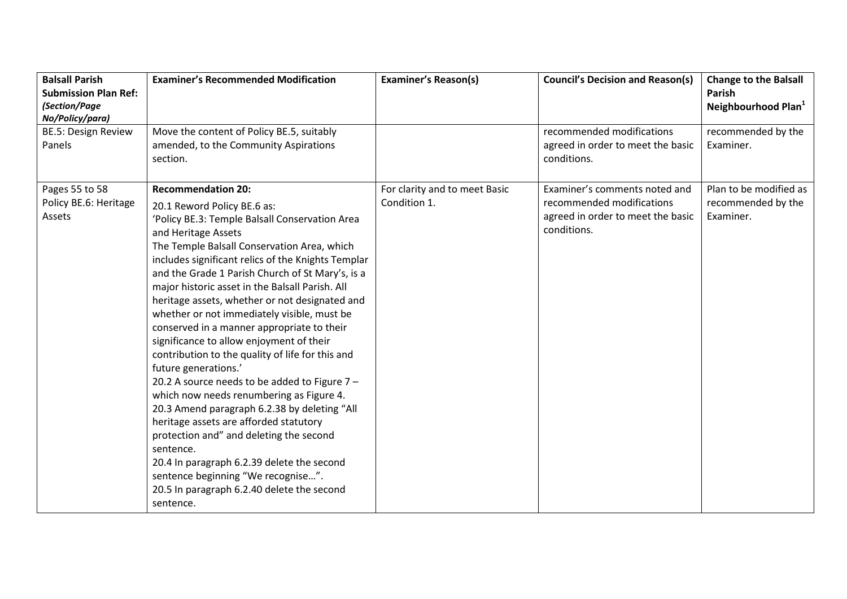| <b>Balsall Parish</b><br><b>Submission Plan Ref:</b> | <b>Examiner's Recommended Modification</b>                                                                                                                                                                                                                                                                                                                                                                                                                                                                                                                                                                                                                                                                                                                                                                                                                                                                                                                                                                           | <b>Examiner's Reason(s)</b>                   | <b>Council's Decision and Reason(s)</b>                                                                        | <b>Change to the Balsall</b><br><b>Parish</b>             |
|------------------------------------------------------|----------------------------------------------------------------------------------------------------------------------------------------------------------------------------------------------------------------------------------------------------------------------------------------------------------------------------------------------------------------------------------------------------------------------------------------------------------------------------------------------------------------------------------------------------------------------------------------------------------------------------------------------------------------------------------------------------------------------------------------------------------------------------------------------------------------------------------------------------------------------------------------------------------------------------------------------------------------------------------------------------------------------|-----------------------------------------------|----------------------------------------------------------------------------------------------------------------|-----------------------------------------------------------|
| (Section/Page                                        |                                                                                                                                                                                                                                                                                                                                                                                                                                                                                                                                                                                                                                                                                                                                                                                                                                                                                                                                                                                                                      |                                               |                                                                                                                | Neighbourhood Plan <sup>1</sup>                           |
| No/Policy/para)                                      |                                                                                                                                                                                                                                                                                                                                                                                                                                                                                                                                                                                                                                                                                                                                                                                                                                                                                                                                                                                                                      |                                               |                                                                                                                |                                                           |
| <b>BE.5: Design Review</b><br>Panels                 | Move the content of Policy BE.5, suitably<br>amended, to the Community Aspirations<br>section.                                                                                                                                                                                                                                                                                                                                                                                                                                                                                                                                                                                                                                                                                                                                                                                                                                                                                                                       |                                               | recommended modifications<br>agreed in order to meet the basic<br>conditions.                                  | recommended by the<br>Examiner.                           |
| Pages 55 to 58<br>Policy BE.6: Heritage<br>Assets    | <b>Recommendation 20:</b><br>20.1 Reword Policy BE.6 as:<br>'Policy BE.3: Temple Balsall Conservation Area<br>and Heritage Assets<br>The Temple Balsall Conservation Area, which<br>includes significant relics of the Knights Templar<br>and the Grade 1 Parish Church of St Mary's, is a<br>major historic asset in the Balsall Parish. All<br>heritage assets, whether or not designated and<br>whether or not immediately visible, must be<br>conserved in a manner appropriate to their<br>significance to allow enjoyment of their<br>contribution to the quality of life for this and<br>future generations.'<br>20.2 A source needs to be added to Figure $7 -$<br>which now needs renumbering as Figure 4.<br>20.3 Amend paragraph 6.2.38 by deleting "All<br>heritage assets are afforded statutory<br>protection and" and deleting the second<br>sentence.<br>20.4 In paragraph 6.2.39 delete the second<br>sentence beginning "We recognise".<br>20.5 In paragraph 6.2.40 delete the second<br>sentence. | For clarity and to meet Basic<br>Condition 1. | Examiner's comments noted and<br>recommended modifications<br>agreed in order to meet the basic<br>conditions. | Plan to be modified as<br>recommended by the<br>Examiner. |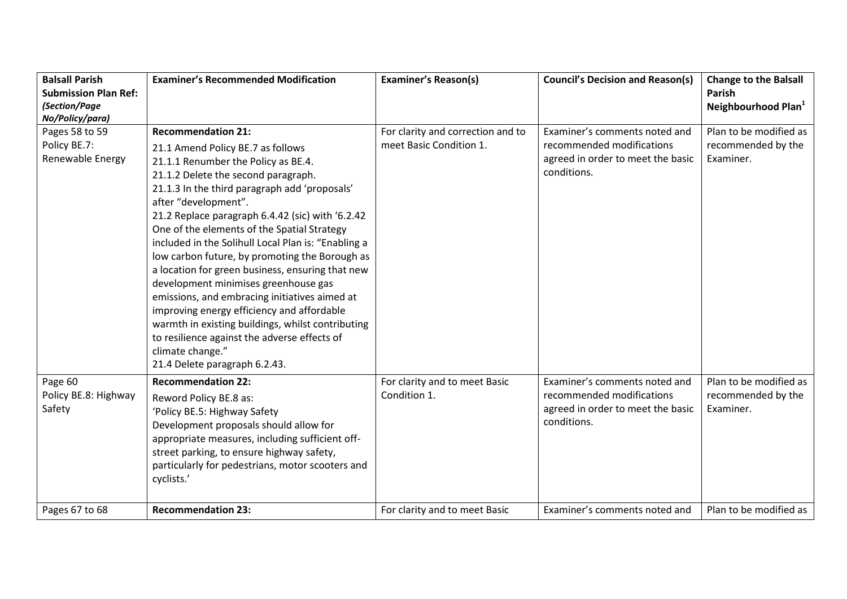| <b>Balsall Parish</b>       | <b>Examiner's Recommended Modification</b>                                                         | <b>Examiner's Reason(s)</b>       | <b>Council's Decision and Reason(s)</b> | <b>Change to the Balsall</b>    |
|-----------------------------|----------------------------------------------------------------------------------------------------|-----------------------------------|-----------------------------------------|---------------------------------|
| <b>Submission Plan Ref:</b> |                                                                                                    |                                   |                                         | Parish                          |
| (Section/Page               |                                                                                                    |                                   |                                         | Neighbourhood Plan <sup>1</sup> |
| No/Policy/para)             |                                                                                                    |                                   |                                         |                                 |
| Pages 58 to 59              | <b>Recommendation 21:</b>                                                                          | For clarity and correction and to | Examiner's comments noted and           | Plan to be modified as          |
| Policy BE.7:                | 21.1 Amend Policy BE.7 as follows                                                                  | meet Basic Condition 1.           | recommended modifications               | recommended by the              |
| Renewable Energy            | 21.1.1 Renumber the Policy as BE.4.                                                                |                                   | agreed in order to meet the basic       | Examiner.                       |
|                             | 21.1.2 Delete the second paragraph.                                                                |                                   | conditions.                             |                                 |
|                             | 21.1.3 In the third paragraph add 'proposals'                                                      |                                   |                                         |                                 |
|                             | after "development".                                                                               |                                   |                                         |                                 |
|                             | 21.2 Replace paragraph 6.4.42 (sic) with '6.2.42                                                   |                                   |                                         |                                 |
|                             | One of the elements of the Spatial Strategy<br>included in the Solihull Local Plan is: "Enabling a |                                   |                                         |                                 |
|                             | low carbon future, by promoting the Borough as                                                     |                                   |                                         |                                 |
|                             | a location for green business, ensuring that new                                                   |                                   |                                         |                                 |
|                             | development minimises greenhouse gas                                                               |                                   |                                         |                                 |
|                             | emissions, and embracing initiatives aimed at                                                      |                                   |                                         |                                 |
|                             | improving energy efficiency and affordable                                                         |                                   |                                         |                                 |
|                             | warmth in existing buildings, whilst contributing                                                  |                                   |                                         |                                 |
|                             | to resilience against the adverse effects of                                                       |                                   |                                         |                                 |
|                             | climate change."                                                                                   |                                   |                                         |                                 |
|                             | 21.4 Delete paragraph 6.2.43.                                                                      |                                   |                                         |                                 |
| Page 60                     | <b>Recommendation 22:</b>                                                                          | For clarity and to meet Basic     | Examiner's comments noted and           | Plan to be modified as          |
| Policy BE.8: Highway        | Reword Policy BE.8 as:                                                                             | Condition 1.                      | recommended modifications               | recommended by the              |
| Safety                      | 'Policy BE.5: Highway Safety                                                                       |                                   | agreed in order to meet the basic       | Examiner.                       |
|                             | Development proposals should allow for                                                             |                                   | conditions.                             |                                 |
|                             | appropriate measures, including sufficient off-                                                    |                                   |                                         |                                 |
|                             | street parking, to ensure highway safety,                                                          |                                   |                                         |                                 |
|                             | particularly for pedestrians, motor scooters and                                                   |                                   |                                         |                                 |
|                             | cyclists.'                                                                                         |                                   |                                         |                                 |
|                             |                                                                                                    |                                   |                                         |                                 |
| Pages 67 to 68              | <b>Recommendation 23:</b>                                                                          | For clarity and to meet Basic     | Examiner's comments noted and           | Plan to be modified as          |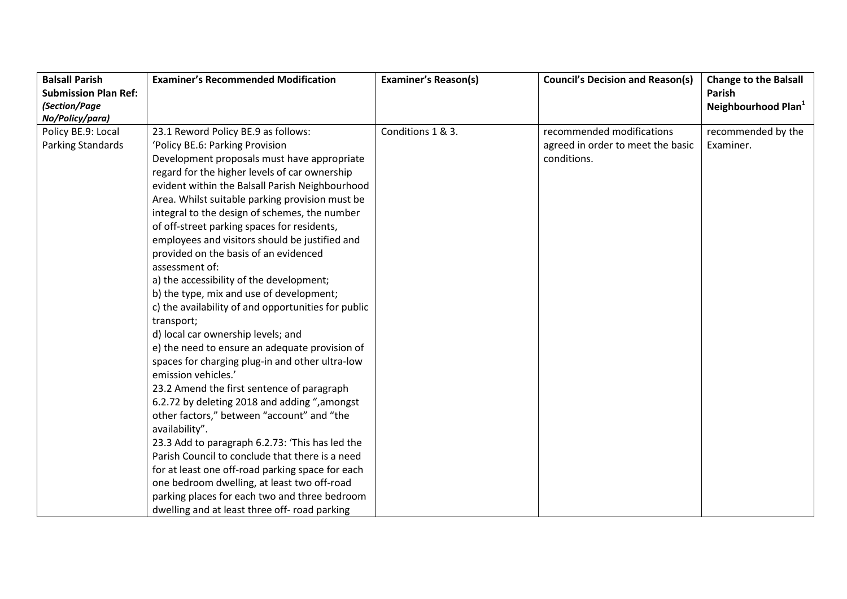| <b>Balsall Parish</b>       | <b>Examiner's Recommended Modification</b>          | <b>Examiner's Reason(s)</b> | <b>Council's Decision and Reason(s)</b> | <b>Change to the Balsall</b>    |
|-----------------------------|-----------------------------------------------------|-----------------------------|-----------------------------------------|---------------------------------|
| <b>Submission Plan Ref:</b> |                                                     |                             |                                         | <b>Parish</b>                   |
| (Section/Page               |                                                     |                             |                                         | Neighbourhood Plan <sup>1</sup> |
| No/Policy/para)             |                                                     |                             |                                         |                                 |
| Policy BE.9: Local          | 23.1 Reword Policy BE.9 as follows:                 | Conditions 1 & 3.           | recommended modifications               | recommended by the              |
| Parking Standards           | 'Policy BE.6: Parking Provision                     |                             | agreed in order to meet the basic       | Examiner.                       |
|                             | Development proposals must have appropriate         |                             | conditions.                             |                                 |
|                             | regard for the higher levels of car ownership       |                             |                                         |                                 |
|                             | evident within the Balsall Parish Neighbourhood     |                             |                                         |                                 |
|                             | Area. Whilst suitable parking provision must be     |                             |                                         |                                 |
|                             | integral to the design of schemes, the number       |                             |                                         |                                 |
|                             | of off-street parking spaces for residents,         |                             |                                         |                                 |
|                             | employees and visitors should be justified and      |                             |                                         |                                 |
|                             | provided on the basis of an evidenced               |                             |                                         |                                 |
|                             | assessment of:                                      |                             |                                         |                                 |
|                             | a) the accessibility of the development;            |                             |                                         |                                 |
|                             | b) the type, mix and use of development;            |                             |                                         |                                 |
|                             | c) the availability of and opportunities for public |                             |                                         |                                 |
|                             | transport;                                          |                             |                                         |                                 |
|                             | d) local car ownership levels; and                  |                             |                                         |                                 |
|                             | e) the need to ensure an adequate provision of      |                             |                                         |                                 |
|                             | spaces for charging plug-in and other ultra-low     |                             |                                         |                                 |
|                             | emission vehicles.'                                 |                             |                                         |                                 |
|                             | 23.2 Amend the first sentence of paragraph          |                             |                                         |                                 |
|                             | 6.2.72 by deleting 2018 and adding ", amongst       |                             |                                         |                                 |
|                             | other factors," between "account" and "the          |                             |                                         |                                 |
|                             | availability".                                      |                             |                                         |                                 |
|                             | 23.3 Add to paragraph 6.2.73: 'This has led the     |                             |                                         |                                 |
|                             | Parish Council to conclude that there is a need     |                             |                                         |                                 |
|                             | for at least one off-road parking space for each    |                             |                                         |                                 |
|                             | one bedroom dwelling, at least two off-road         |                             |                                         |                                 |
|                             | parking places for each two and three bedroom       |                             |                                         |                                 |
|                             | dwelling and at least three off- road parking       |                             |                                         |                                 |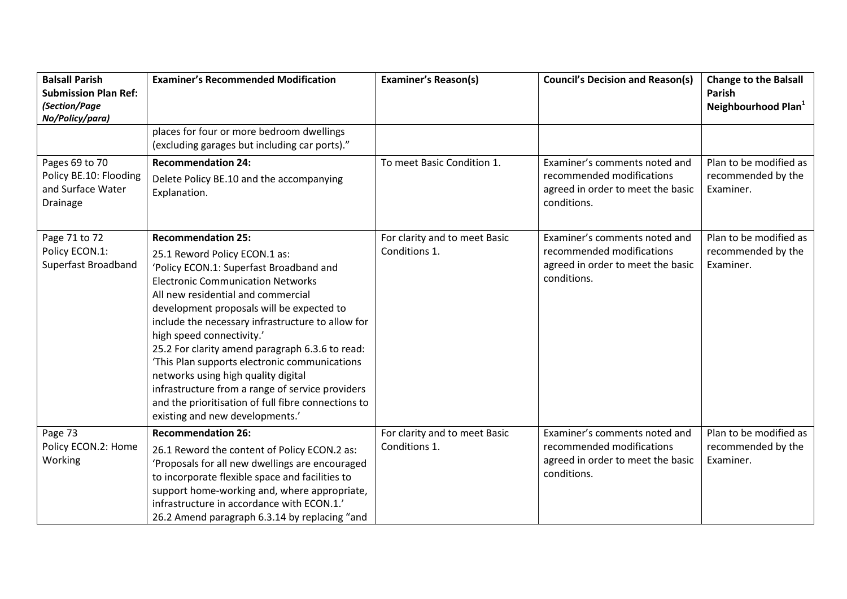| <b>Balsall Parish</b><br><b>Submission Plan Ref:</b>                      | <b>Examiner's Recommended Modification</b>                                                                                                                                                                                                                                                                                                                                                                                                                                                                                                                                                                      | <b>Examiner's Reason(s)</b>                    | <b>Council's Decision and Reason(s)</b>                                                                        | <b>Change to the Balsall</b><br>Parish                    |
|---------------------------------------------------------------------------|-----------------------------------------------------------------------------------------------------------------------------------------------------------------------------------------------------------------------------------------------------------------------------------------------------------------------------------------------------------------------------------------------------------------------------------------------------------------------------------------------------------------------------------------------------------------------------------------------------------------|------------------------------------------------|----------------------------------------------------------------------------------------------------------------|-----------------------------------------------------------|
| (Section/Page<br>No/Policy/para)                                          |                                                                                                                                                                                                                                                                                                                                                                                                                                                                                                                                                                                                                 |                                                |                                                                                                                | Neighbourhood Plan <sup>1</sup>                           |
|                                                                           | places for four or more bedroom dwellings<br>(excluding garages but including car ports)."                                                                                                                                                                                                                                                                                                                                                                                                                                                                                                                      |                                                |                                                                                                                |                                                           |
| Pages 69 to 70<br>Policy BE.10: Flooding<br>and Surface Water<br>Drainage | <b>Recommendation 24:</b><br>Delete Policy BE.10 and the accompanying<br>Explanation.                                                                                                                                                                                                                                                                                                                                                                                                                                                                                                                           | To meet Basic Condition 1.                     | Examiner's comments noted and<br>recommended modifications<br>agreed in order to meet the basic<br>conditions. | Plan to be modified as<br>recommended by the<br>Examiner. |
| Page 71 to 72<br>Policy ECON.1:<br>Superfast Broadband                    | <b>Recommendation 25:</b><br>25.1 Reword Policy ECON.1 as:<br>'Policy ECON.1: Superfast Broadband and<br><b>Electronic Communication Networks</b><br>All new residential and commercial<br>development proposals will be expected to<br>include the necessary infrastructure to allow for<br>high speed connectivity.'<br>25.2 For clarity amend paragraph 6.3.6 to read:<br>'This Plan supports electronic communications<br>networks using high quality digital<br>infrastructure from a range of service providers<br>and the prioritisation of full fibre connections to<br>existing and new developments.' | For clarity and to meet Basic<br>Conditions 1. | Examiner's comments noted and<br>recommended modifications<br>agreed in order to meet the basic<br>conditions. | Plan to be modified as<br>recommended by the<br>Examiner. |
| Page 73<br>Policy ECON.2: Home<br>Working                                 | <b>Recommendation 26:</b><br>26.1 Reword the content of Policy ECON.2 as:<br>'Proposals for all new dwellings are encouraged<br>to incorporate flexible space and facilities to<br>support home-working and, where appropriate,<br>infrastructure in accordance with ECON.1.'<br>26.2 Amend paragraph 6.3.14 by replacing "and                                                                                                                                                                                                                                                                                  | For clarity and to meet Basic<br>Conditions 1. | Examiner's comments noted and<br>recommended modifications<br>agreed in order to meet the basic<br>conditions. | Plan to be modified as<br>recommended by the<br>Examiner. |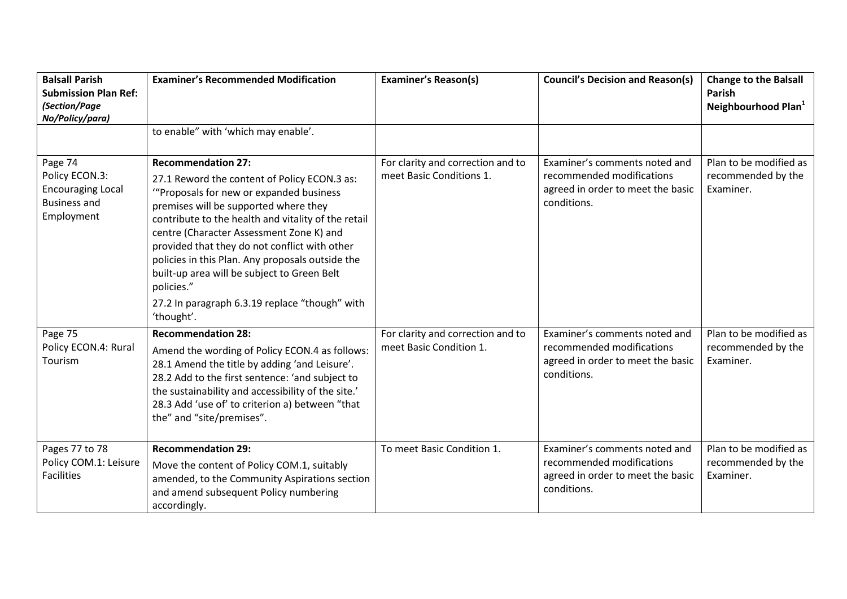| <b>Balsall Parish</b><br><b>Submission Plan Ref:</b><br>(Section/Page<br>No/Policy/para)   | <b>Examiner's Recommended Modification</b>                                                                                                                                                                                                                                                                                                                                                                                                                                                          | <b>Examiner's Reason(s)</b>                                   | <b>Council's Decision and Reason(s)</b>                                                                        | <b>Change to the Balsall</b><br>Parish<br>Neighbourhood Plan <sup>1</sup> |
|--------------------------------------------------------------------------------------------|-----------------------------------------------------------------------------------------------------------------------------------------------------------------------------------------------------------------------------------------------------------------------------------------------------------------------------------------------------------------------------------------------------------------------------------------------------------------------------------------------------|---------------------------------------------------------------|----------------------------------------------------------------------------------------------------------------|---------------------------------------------------------------------------|
|                                                                                            | to enable" with 'which may enable'.                                                                                                                                                                                                                                                                                                                                                                                                                                                                 |                                                               |                                                                                                                |                                                                           |
| Page 74<br>Policy ECON.3:<br><b>Encouraging Local</b><br><b>Business and</b><br>Employment | <b>Recommendation 27:</b><br>27.1 Reword the content of Policy ECON.3 as:<br>"Proposals for new or expanded business"<br>premises will be supported where they<br>contribute to the health and vitality of the retail<br>centre (Character Assessment Zone K) and<br>provided that they do not conflict with other<br>policies in this Plan. Any proposals outside the<br>built-up area will be subject to Green Belt<br>policies."<br>27.2 In paragraph 6.3.19 replace "though" with<br>'thought'. | For clarity and correction and to<br>meet Basic Conditions 1. | Examiner's comments noted and<br>recommended modifications<br>agreed in order to meet the basic<br>conditions. | Plan to be modified as<br>recommended by the<br>Examiner.                 |
| Page 75<br>Policy ECON.4: Rural<br>Tourism                                                 | <b>Recommendation 28:</b><br>Amend the wording of Policy ECON.4 as follows:<br>28.1 Amend the title by adding 'and Leisure'.<br>28.2 Add to the first sentence: 'and subject to<br>the sustainability and accessibility of the site.'<br>28.3 Add 'use of' to criterion a) between "that<br>the" and "site/premises".                                                                                                                                                                               | For clarity and correction and to<br>meet Basic Condition 1.  | Examiner's comments noted and<br>recommended modifications<br>agreed in order to meet the basic<br>conditions. | Plan to be modified as<br>recommended by the<br>Examiner.                 |
| Pages 77 to 78<br>Policy COM.1: Leisure<br><b>Facilities</b>                               | <b>Recommendation 29:</b><br>Move the content of Policy COM.1, suitably<br>amended, to the Community Aspirations section<br>and amend subsequent Policy numbering<br>accordingly.                                                                                                                                                                                                                                                                                                                   | To meet Basic Condition 1.                                    | Examiner's comments noted and<br>recommended modifications<br>agreed in order to meet the basic<br>conditions. | Plan to be modified as<br>recommended by the<br>Examiner.                 |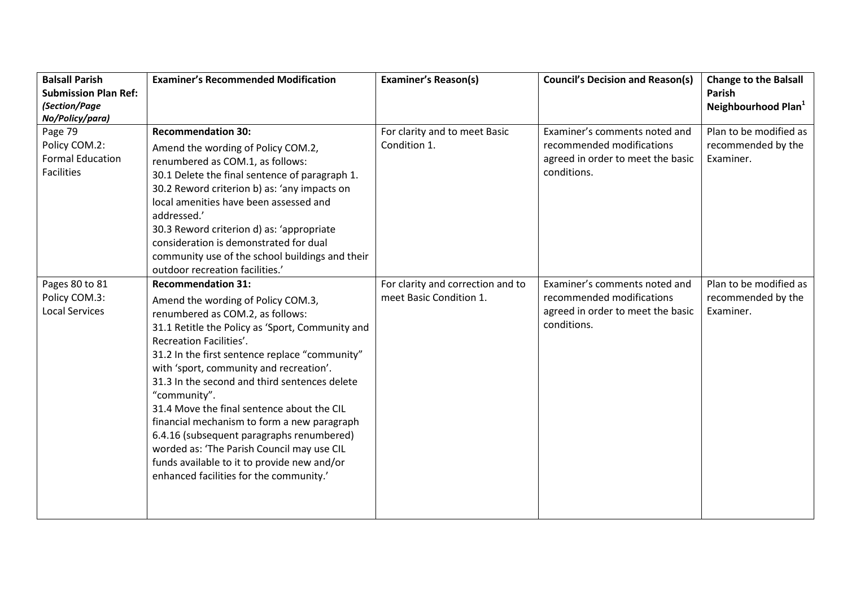| <b>Balsall Parish</b><br><b>Submission Plan Ref:</b><br>(Section/Page<br>No/Policy/para) | <b>Examiner's Recommended Modification</b>                                                                                                                                                                                                                                                                                                                                                                                                                                                                                                                                                                                         | <b>Examiner's Reason(s)</b>                                  | <b>Council's Decision and Reason(s)</b>                                                                        | <b>Change to the Balsall</b><br>Parish<br>Neighbourhood Plan <sup>1</sup> |
|------------------------------------------------------------------------------------------|------------------------------------------------------------------------------------------------------------------------------------------------------------------------------------------------------------------------------------------------------------------------------------------------------------------------------------------------------------------------------------------------------------------------------------------------------------------------------------------------------------------------------------------------------------------------------------------------------------------------------------|--------------------------------------------------------------|----------------------------------------------------------------------------------------------------------------|---------------------------------------------------------------------------|
| Page 79<br>Policy COM.2:<br><b>Formal Education</b><br><b>Facilities</b>                 | <b>Recommendation 30:</b><br>Amend the wording of Policy COM.2,<br>renumbered as COM.1, as follows:<br>30.1 Delete the final sentence of paragraph 1.<br>30.2 Reword criterion b) as: 'any impacts on<br>local amenities have been assessed and<br>addressed.'<br>30.3 Reword criterion d) as: 'appropriate<br>consideration is demonstrated for dual<br>community use of the school buildings and their<br>outdoor recreation facilities.'                                                                                                                                                                                        | For clarity and to meet Basic<br>Condition 1.                | Examiner's comments noted and<br>recommended modifications<br>agreed in order to meet the basic<br>conditions. | Plan to be modified as<br>recommended by the<br>Examiner.                 |
| Pages 80 to 81<br>Policy COM.3:<br><b>Local Services</b>                                 | <b>Recommendation 31:</b><br>Amend the wording of Policy COM.3,<br>renumbered as COM.2, as follows:<br>31.1 Retitle the Policy as 'Sport, Community and<br>Recreation Facilities'.<br>31.2 In the first sentence replace "community"<br>with 'sport, community and recreation'.<br>31.3 In the second and third sentences delete<br>"community".<br>31.4 Move the final sentence about the CIL<br>financial mechanism to form a new paragraph<br>6.4.16 (subsequent paragraphs renumbered)<br>worded as: 'The Parish Council may use CIL<br>funds available to it to provide new and/or<br>enhanced facilities for the community.' | For clarity and correction and to<br>meet Basic Condition 1. | Examiner's comments noted and<br>recommended modifications<br>agreed in order to meet the basic<br>conditions. | Plan to be modified as<br>recommended by the<br>Examiner.                 |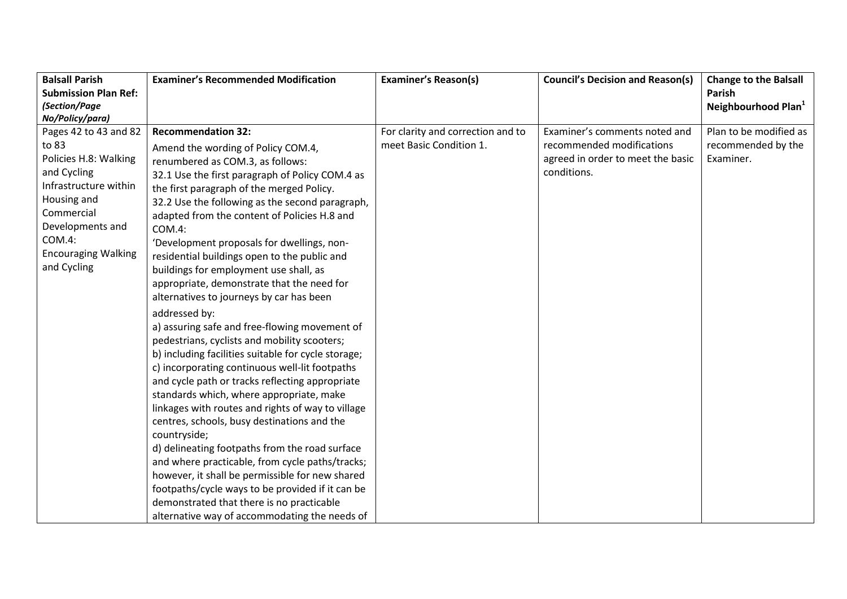| <b>Balsall Parish</b>                                                                                                                                                                                                      | <b>Examiner's Recommended Modification</b>                                                                                                                                                                                                                                                                                                                                                                                                                                                                                                                                                                                                                                                                                                                                                                                                                                                                                                                                                                                                                                                                                                                                                                                                                | <b>Examiner's Reason(s)</b>                                  | <b>Council's Decision and Reason(s)</b>                                                                        | <b>Change to the Balsall</b>                              |
|----------------------------------------------------------------------------------------------------------------------------------------------------------------------------------------------------------------------------|-----------------------------------------------------------------------------------------------------------------------------------------------------------------------------------------------------------------------------------------------------------------------------------------------------------------------------------------------------------------------------------------------------------------------------------------------------------------------------------------------------------------------------------------------------------------------------------------------------------------------------------------------------------------------------------------------------------------------------------------------------------------------------------------------------------------------------------------------------------------------------------------------------------------------------------------------------------------------------------------------------------------------------------------------------------------------------------------------------------------------------------------------------------------------------------------------------------------------------------------------------------|--------------------------------------------------------------|----------------------------------------------------------------------------------------------------------------|-----------------------------------------------------------|
| <b>Submission Plan Ref:</b>                                                                                                                                                                                                |                                                                                                                                                                                                                                                                                                                                                                                                                                                                                                                                                                                                                                                                                                                                                                                                                                                                                                                                                                                                                                                                                                                                                                                                                                                           |                                                              |                                                                                                                | Parish                                                    |
| (Section/Page                                                                                                                                                                                                              |                                                                                                                                                                                                                                                                                                                                                                                                                                                                                                                                                                                                                                                                                                                                                                                                                                                                                                                                                                                                                                                                                                                                                                                                                                                           |                                                              |                                                                                                                | Neighbourhood Plan <sup>1</sup>                           |
|                                                                                                                                                                                                                            |                                                                                                                                                                                                                                                                                                                                                                                                                                                                                                                                                                                                                                                                                                                                                                                                                                                                                                                                                                                                                                                                                                                                                                                                                                                           |                                                              |                                                                                                                |                                                           |
| No/Policy/para)<br>Pages 42 to 43 and 82<br>to 83<br>Policies H.8: Walking<br>and Cycling<br>Infrastructure within<br>Housing and<br>Commercial<br>Developments and<br>COM.4:<br><b>Encouraging Walking</b><br>and Cycling | <b>Recommendation 32:</b><br>Amend the wording of Policy COM.4,<br>renumbered as COM.3, as follows:<br>32.1 Use the first paragraph of Policy COM.4 as<br>the first paragraph of the merged Policy.<br>32.2 Use the following as the second paragraph,<br>adapted from the content of Policies H.8 and<br>COM.4:<br>'Development proposals for dwellings, non-<br>residential buildings open to the public and<br>buildings for employment use shall, as<br>appropriate, demonstrate that the need for<br>alternatives to journeys by car has been<br>addressed by:<br>a) assuring safe and free-flowing movement of<br>pedestrians, cyclists and mobility scooters;<br>b) including facilities suitable for cycle storage;<br>c) incorporating continuous well-lit footpaths<br>and cycle path or tracks reflecting appropriate<br>standards which, where appropriate, make<br>linkages with routes and rights of way to village<br>centres, schools, busy destinations and the<br>countryside;<br>d) delineating footpaths from the road surface<br>and where practicable, from cycle paths/tracks;<br>however, it shall be permissible for new shared<br>footpaths/cycle ways to be provided if it can be<br>demonstrated that there is no practicable | For clarity and correction and to<br>meet Basic Condition 1. | Examiner's comments noted and<br>recommended modifications<br>agreed in order to meet the basic<br>conditions. | Plan to be modified as<br>recommended by the<br>Examiner. |
|                                                                                                                                                                                                                            | alternative way of accommodating the needs of                                                                                                                                                                                                                                                                                                                                                                                                                                                                                                                                                                                                                                                                                                                                                                                                                                                                                                                                                                                                                                                                                                                                                                                                             |                                                              |                                                                                                                |                                                           |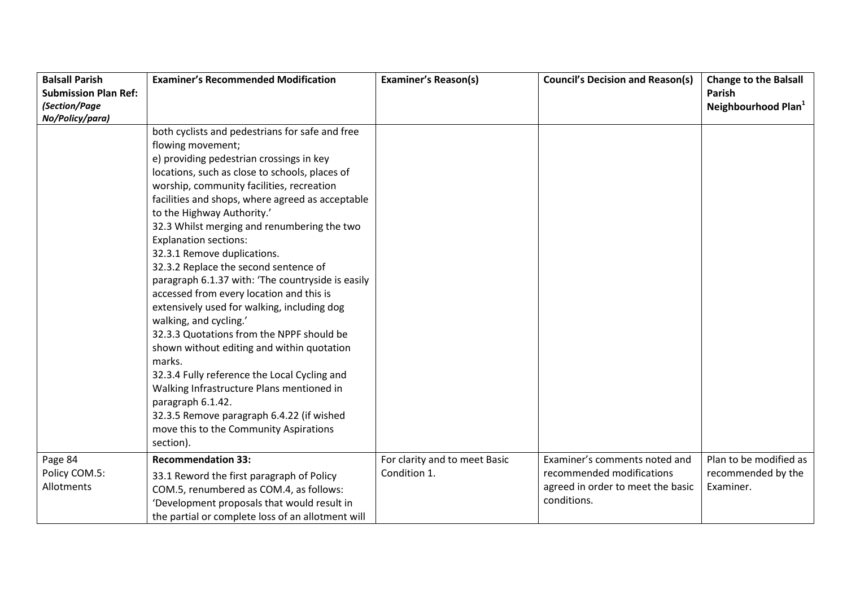| <b>Balsall Parish</b>       | <b>Examiner's Recommended Modification</b>        | <b>Examiner's Reason(s)</b>   | <b>Council's Decision and Reason(s)</b> | <b>Change to the Balsall</b>    |
|-----------------------------|---------------------------------------------------|-------------------------------|-----------------------------------------|---------------------------------|
| <b>Submission Plan Ref:</b> |                                                   |                               |                                         | Parish                          |
| (Section/Page               |                                                   |                               |                                         | Neighbourhood Plan <sup>1</sup> |
| No/Policy/para)             |                                                   |                               |                                         |                                 |
|                             | both cyclists and pedestrians for safe and free   |                               |                                         |                                 |
|                             | flowing movement;                                 |                               |                                         |                                 |
|                             | e) providing pedestrian crossings in key          |                               |                                         |                                 |
|                             | locations, such as close to schools, places of    |                               |                                         |                                 |
|                             | worship, community facilities, recreation         |                               |                                         |                                 |
|                             | facilities and shops, where agreed as acceptable  |                               |                                         |                                 |
|                             | to the Highway Authority.'                        |                               |                                         |                                 |
|                             | 32.3 Whilst merging and renumbering the two       |                               |                                         |                                 |
|                             | <b>Explanation sections:</b>                      |                               |                                         |                                 |
|                             | 32.3.1 Remove duplications.                       |                               |                                         |                                 |
|                             | 32.3.2 Replace the second sentence of             |                               |                                         |                                 |
|                             | paragraph 6.1.37 with: 'The countryside is easily |                               |                                         |                                 |
|                             | accessed from every location and this is          |                               |                                         |                                 |
|                             | extensively used for walking, including dog       |                               |                                         |                                 |
|                             | walking, and cycling.'                            |                               |                                         |                                 |
|                             | 32.3.3 Quotations from the NPPF should be         |                               |                                         |                                 |
|                             | shown without editing and within quotation        |                               |                                         |                                 |
|                             | marks.                                            |                               |                                         |                                 |
|                             | 32.3.4 Fully reference the Local Cycling and      |                               |                                         |                                 |
|                             | Walking Infrastructure Plans mentioned in         |                               |                                         |                                 |
|                             | paragraph 6.1.42.                                 |                               |                                         |                                 |
|                             | 32.3.5 Remove paragraph 6.4.22 (if wished         |                               |                                         |                                 |
|                             | move this to the Community Aspirations            |                               |                                         |                                 |
|                             | section).                                         |                               |                                         |                                 |
| Page 84                     | <b>Recommendation 33:</b>                         | For clarity and to meet Basic | Examiner's comments noted and           | Plan to be modified as          |
| Policy COM.5:               | 33.1 Reword the first paragraph of Policy         | Condition 1.                  | recommended modifications               | recommended by the              |
| Allotments                  | COM.5, renumbered as COM.4, as follows:           |                               | agreed in order to meet the basic       | Examiner.                       |
|                             | 'Development proposals that would result in       |                               | conditions.                             |                                 |
|                             | the partial or complete loss of an allotment will |                               |                                         |                                 |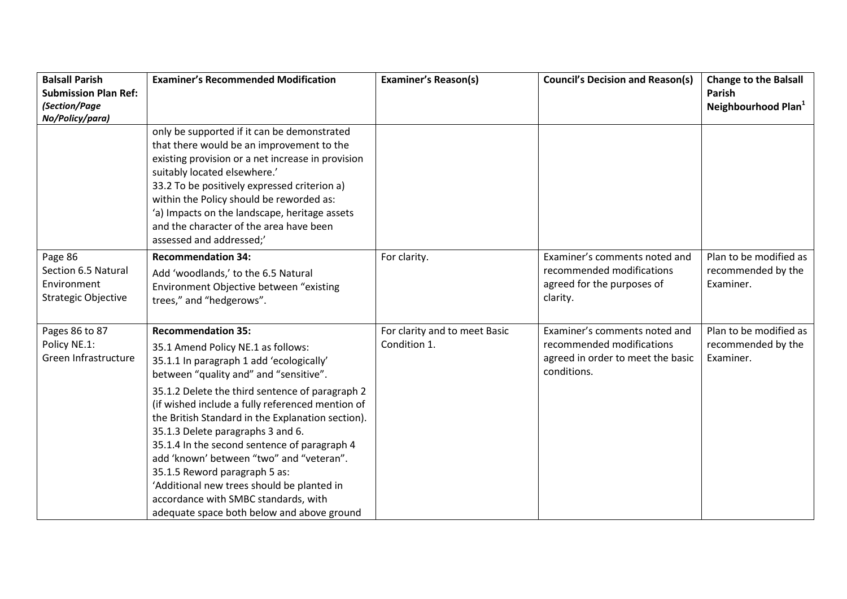| <b>Balsall Parish</b><br><b>Submission Plan Ref:</b>                        | <b>Examiner's Recommended Modification</b>                                                                                                                                                                                                                                                                                                                                                                                                                                                                                                                                                                              | <b>Examiner's Reason(s)</b>                   | <b>Council's Decision and Reason(s)</b>                                                                        | <b>Change to the Balsall</b><br><b>Parish</b>             |
|-----------------------------------------------------------------------------|-------------------------------------------------------------------------------------------------------------------------------------------------------------------------------------------------------------------------------------------------------------------------------------------------------------------------------------------------------------------------------------------------------------------------------------------------------------------------------------------------------------------------------------------------------------------------------------------------------------------------|-----------------------------------------------|----------------------------------------------------------------------------------------------------------------|-----------------------------------------------------------|
| (Section/Page                                                               |                                                                                                                                                                                                                                                                                                                                                                                                                                                                                                                                                                                                                         |                                               |                                                                                                                | Neighbourhood Plan <sup>1</sup>                           |
| No/Policy/para)                                                             |                                                                                                                                                                                                                                                                                                                                                                                                                                                                                                                                                                                                                         |                                               |                                                                                                                |                                                           |
|                                                                             | only be supported if it can be demonstrated<br>that there would be an improvement to the<br>existing provision or a net increase in provision<br>suitably located elsewhere.'<br>33.2 To be positively expressed criterion a)<br>within the Policy should be reworded as:<br>'a) Impacts on the landscape, heritage assets<br>and the character of the area have been<br>assessed and addressed;'                                                                                                                                                                                                                       |                                               |                                                                                                                |                                                           |
| Page 86<br>Section 6.5 Natural<br>Environment<br><b>Strategic Objective</b> | <b>Recommendation 34:</b><br>Add 'woodlands,' to the 6.5 Natural<br>Environment Objective between "existing<br>trees," and "hedgerows".                                                                                                                                                                                                                                                                                                                                                                                                                                                                                 | For clarity.                                  | Examiner's comments noted and<br>recommended modifications<br>agreed for the purposes of<br>clarity.           | Plan to be modified as<br>recommended by the<br>Examiner. |
| Pages 86 to 87<br>Policy NE.1:<br>Green Infrastructure                      | <b>Recommendation 35:</b><br>35.1 Amend Policy NE.1 as follows:<br>35.1.1 In paragraph 1 add 'ecologically'<br>between "quality and" and "sensitive".<br>35.1.2 Delete the third sentence of paragraph 2<br>(if wished include a fully referenced mention of<br>the British Standard in the Explanation section).<br>35.1.3 Delete paragraphs 3 and 6.<br>35.1.4 In the second sentence of paragraph 4<br>add 'known' between "two" and "veteran".<br>35.1.5 Reword paragraph 5 as:<br>'Additional new trees should be planted in<br>accordance with SMBC standards, with<br>adequate space both below and above ground | For clarity and to meet Basic<br>Condition 1. | Examiner's comments noted and<br>recommended modifications<br>agreed in order to meet the basic<br>conditions. | Plan to be modified as<br>recommended by the<br>Examiner. |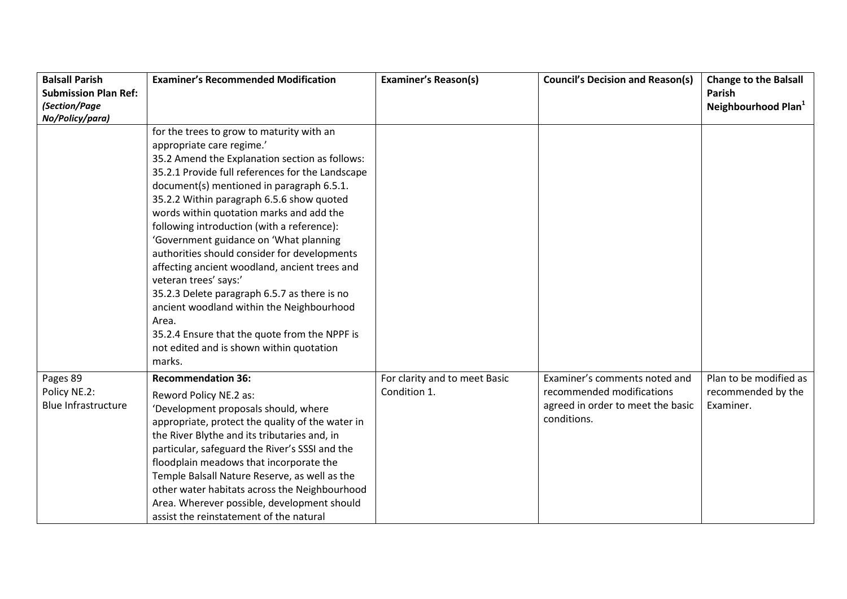| <b>Balsall Parish</b>       | <b>Examiner's Recommended Modification</b>       | <b>Examiner's Reason(s)</b>   | <b>Council's Decision and Reason(s)</b> | <b>Change to the Balsall</b>    |
|-----------------------------|--------------------------------------------------|-------------------------------|-----------------------------------------|---------------------------------|
| <b>Submission Plan Ref:</b> |                                                  |                               |                                         | <b>Parish</b>                   |
| (Section/Page               |                                                  |                               |                                         | Neighbourhood Plan <sup>1</sup> |
| No/Policy/para)             |                                                  |                               |                                         |                                 |
|                             | for the trees to grow to maturity with an        |                               |                                         |                                 |
|                             | appropriate care regime.'                        |                               |                                         |                                 |
|                             | 35.2 Amend the Explanation section as follows:   |                               |                                         |                                 |
|                             | 35.2.1 Provide full references for the Landscape |                               |                                         |                                 |
|                             | document(s) mentioned in paragraph 6.5.1.        |                               |                                         |                                 |
|                             | 35.2.2 Within paragraph 6.5.6 show quoted        |                               |                                         |                                 |
|                             | words within quotation marks and add the         |                               |                                         |                                 |
|                             | following introduction (with a reference):       |                               |                                         |                                 |
|                             | 'Government guidance on 'What planning           |                               |                                         |                                 |
|                             | authorities should consider for developments     |                               |                                         |                                 |
|                             | affecting ancient woodland, ancient trees and    |                               |                                         |                                 |
|                             | veteran trees' says:'                            |                               |                                         |                                 |
|                             | 35.2.3 Delete paragraph 6.5.7 as there is no     |                               |                                         |                                 |
|                             | ancient woodland within the Neighbourhood        |                               |                                         |                                 |
|                             | Area.                                            |                               |                                         |                                 |
|                             | 35.2.4 Ensure that the quote from the NPPF is    |                               |                                         |                                 |
|                             | not edited and is shown within quotation         |                               |                                         |                                 |
|                             | marks.                                           |                               |                                         |                                 |
| Pages 89                    | <b>Recommendation 36:</b>                        | For clarity and to meet Basic | Examiner's comments noted and           | Plan to be modified as          |
| Policy NE.2:                | Reword Policy NE.2 as:                           | Condition 1.                  | recommended modifications               | recommended by the              |
| <b>Blue Infrastructure</b>  | 'Development proposals should, where             |                               | agreed in order to meet the basic       | Examiner.                       |
|                             | appropriate, protect the quality of the water in |                               | conditions.                             |                                 |
|                             | the River Blythe and its tributaries and, in     |                               |                                         |                                 |
|                             | particular, safeguard the River's SSSI and the   |                               |                                         |                                 |
|                             | floodplain meadows that incorporate the          |                               |                                         |                                 |
|                             | Temple Balsall Nature Reserve, as well as the    |                               |                                         |                                 |
|                             | other water habitats across the Neighbourhood    |                               |                                         |                                 |
|                             | Area. Wherever possible, development should      |                               |                                         |                                 |
|                             | assist the reinstatement of the natural          |                               |                                         |                                 |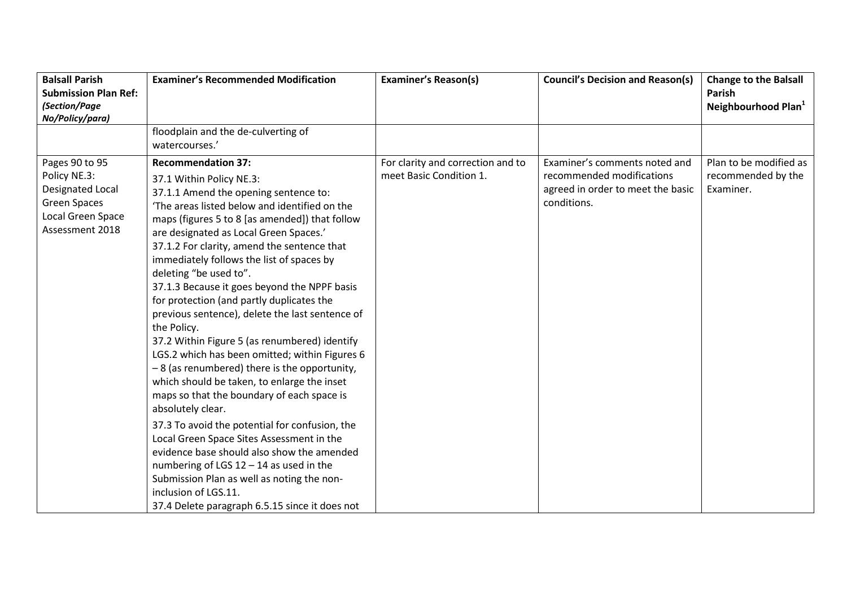|                                                                                                                                                                                                                                                                                                                                                                                                                                                                                                                                                                                                                                                                                                                                                                                                                                                                                                                                                                                                                                                                       |                                                              |                                                                                                                | Parish                                                    |
|-----------------------------------------------------------------------------------------------------------------------------------------------------------------------------------------------------------------------------------------------------------------------------------------------------------------------------------------------------------------------------------------------------------------------------------------------------------------------------------------------------------------------------------------------------------------------------------------------------------------------------------------------------------------------------------------------------------------------------------------------------------------------------------------------------------------------------------------------------------------------------------------------------------------------------------------------------------------------------------------------------------------------------------------------------------------------|--------------------------------------------------------------|----------------------------------------------------------------------------------------------------------------|-----------------------------------------------------------|
|                                                                                                                                                                                                                                                                                                                                                                                                                                                                                                                                                                                                                                                                                                                                                                                                                                                                                                                                                                                                                                                                       |                                                              |                                                                                                                | Neighbourhood Plan <sup>1</sup>                           |
|                                                                                                                                                                                                                                                                                                                                                                                                                                                                                                                                                                                                                                                                                                                                                                                                                                                                                                                                                                                                                                                                       |                                                              |                                                                                                                |                                                           |
| floodplain and the de-culverting of                                                                                                                                                                                                                                                                                                                                                                                                                                                                                                                                                                                                                                                                                                                                                                                                                                                                                                                                                                                                                                   |                                                              |                                                                                                                |                                                           |
| watercourses.'                                                                                                                                                                                                                                                                                                                                                                                                                                                                                                                                                                                                                                                                                                                                                                                                                                                                                                                                                                                                                                                        |                                                              |                                                                                                                |                                                           |
| <b>Recommendation 37:</b><br>37.1 Within Policy NE.3:<br>37.1.1 Amend the opening sentence to:<br>'The areas listed below and identified on the<br>maps (figures 5 to 8 [as amended]) that follow<br>are designated as Local Green Spaces.'<br>37.1.2 For clarity, amend the sentence that<br>immediately follows the list of spaces by<br>deleting "be used to".<br>37.1.3 Because it goes beyond the NPPF basis<br>for protection (and partly duplicates the<br>previous sentence), delete the last sentence of<br>the Policy.<br>37.2 Within Figure 5 (as renumbered) identify<br>LGS.2 which has been omitted; within Figures 6<br>-8 (as renumbered) there is the opportunity,<br>which should be taken, to enlarge the inset<br>maps so that the boundary of each space is<br>absolutely clear.<br>37.3 To avoid the potential for confusion, the<br>Local Green Space Sites Assessment in the<br>evidence base should also show the amended<br>numbering of LGS $12 - 14$ as used in the<br>Submission Plan as well as noting the non-<br>inclusion of LGS.11. | For clarity and correction and to<br>meet Basic Condition 1. | Examiner's comments noted and<br>recommended modifications<br>agreed in order to meet the basic<br>conditions. | Plan to be modified as<br>recommended by the<br>Examiner. |
|                                                                                                                                                                                                                                                                                                                                                                                                                                                                                                                                                                                                                                                                                                                                                                                                                                                                                                                                                                                                                                                                       | 37.4 Delete paragraph 6.5.15 since it does not               |                                                                                                                |                                                           |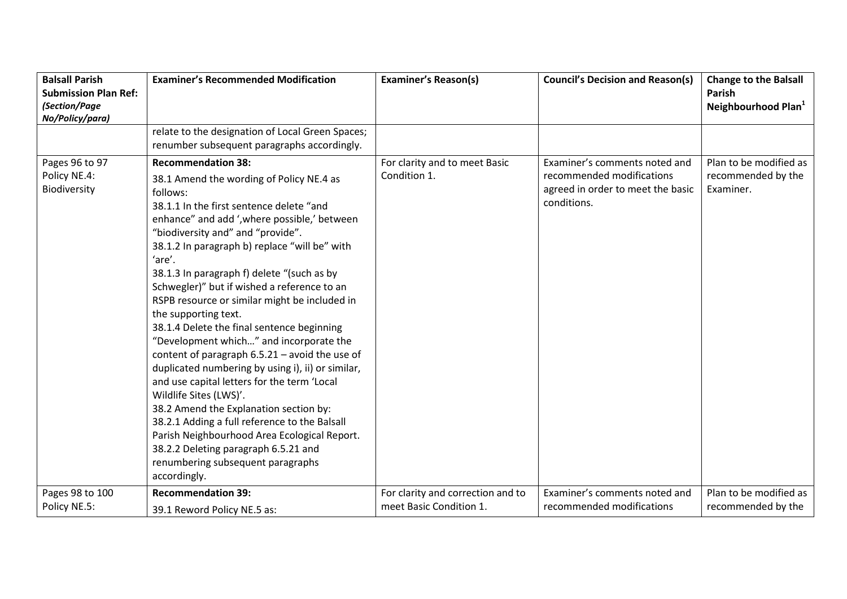| <b>Balsall Parish</b><br><b>Submission Plan Ref:</b><br>(Section/Page<br>No/Policy/para) | <b>Examiner's Recommended Modification</b>                                                                                                                                                                                                                                                                                                                                                                                                                                                                                                                                                                                                                                                                                                                                                                                                                                                                                                                             | <b>Examiner's Reason(s)</b>                                  | <b>Council's Decision and Reason(s)</b>                                                                        | <b>Change to the Balsall</b><br>Parish<br>Neighbourhood Plan <sup>1</sup> |
|------------------------------------------------------------------------------------------|------------------------------------------------------------------------------------------------------------------------------------------------------------------------------------------------------------------------------------------------------------------------------------------------------------------------------------------------------------------------------------------------------------------------------------------------------------------------------------------------------------------------------------------------------------------------------------------------------------------------------------------------------------------------------------------------------------------------------------------------------------------------------------------------------------------------------------------------------------------------------------------------------------------------------------------------------------------------|--------------------------------------------------------------|----------------------------------------------------------------------------------------------------------------|---------------------------------------------------------------------------|
|                                                                                          | relate to the designation of Local Green Spaces;<br>renumber subsequent paragraphs accordingly.                                                                                                                                                                                                                                                                                                                                                                                                                                                                                                                                                                                                                                                                                                                                                                                                                                                                        |                                                              |                                                                                                                |                                                                           |
| Pages 96 to 97<br>Policy NE.4:<br>Biodiversity                                           | <b>Recommendation 38:</b><br>38.1 Amend the wording of Policy NE.4 as<br>follows:<br>38.1.1 In the first sentence delete "and<br>enhance" and add ', where possible,' between<br>"biodiversity and" and "provide".<br>38.1.2 In paragraph b) replace "will be" with<br>'are'.<br>38.1.3 In paragraph f) delete "(such as by<br>Schwegler)" but if wished a reference to an<br>RSPB resource or similar might be included in<br>the supporting text.<br>38.1.4 Delete the final sentence beginning<br>"Development which" and incorporate the<br>content of paragraph $6.5.21$ – avoid the use of<br>duplicated numbering by using i), ii) or similar,<br>and use capital letters for the term 'Local<br>Wildlife Sites (LWS)'.<br>38.2 Amend the Explanation section by:<br>38.2.1 Adding a full reference to the Balsall<br>Parish Neighbourhood Area Ecological Report.<br>38.2.2 Deleting paragraph 6.5.21 and<br>renumbering subsequent paragraphs<br>accordingly. | For clarity and to meet Basic<br>Condition 1.                | Examiner's comments noted and<br>recommended modifications<br>agreed in order to meet the basic<br>conditions. | Plan to be modified as<br>recommended by the<br>Examiner.                 |
| Pages 98 to 100<br>Policy NE.5:                                                          | <b>Recommendation 39:</b><br>39.1 Reword Policy NE.5 as:                                                                                                                                                                                                                                                                                                                                                                                                                                                                                                                                                                                                                                                                                                                                                                                                                                                                                                               | For clarity and correction and to<br>meet Basic Condition 1. | Examiner's comments noted and<br>recommended modifications                                                     | Plan to be modified as<br>recommended by the                              |